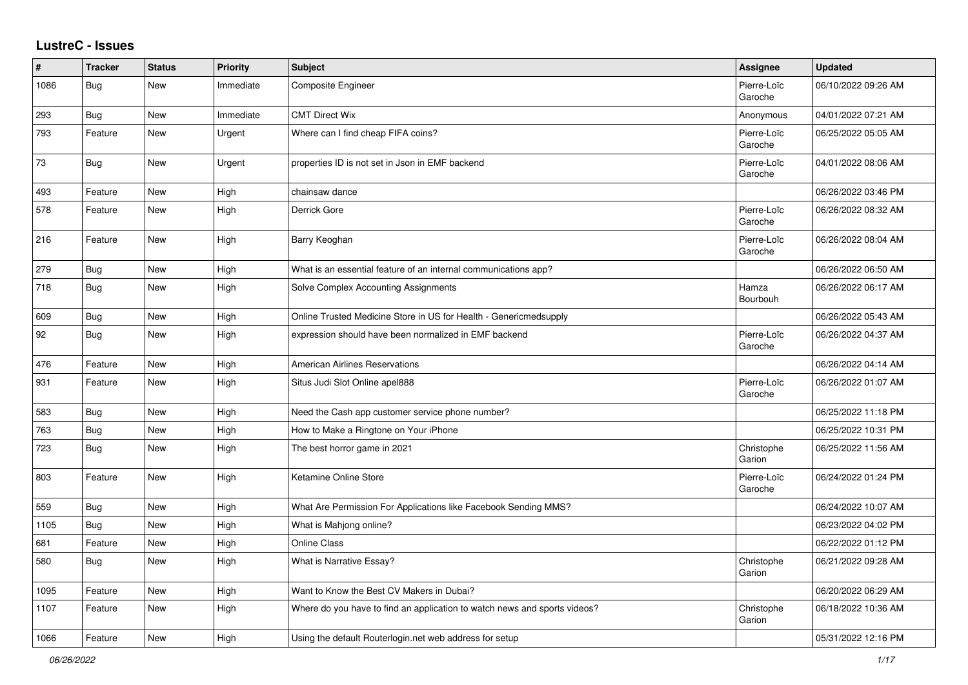## **LustreC - Issues**

| #    | <b>Tracker</b> | <b>Status</b> | Priority  | Subject                                                                   | Assignee               | <b>Updated</b>      |
|------|----------------|---------------|-----------|---------------------------------------------------------------------------|------------------------|---------------------|
| 1086 | <b>Bug</b>     | New           | Immediate | Composite Engineer                                                        | Pierre-Loïc<br>Garoche | 06/10/2022 09:26 AM |
| 293  | <b>Bug</b>     | New           | Immediate | <b>CMT Direct Wix</b>                                                     | Anonymous              | 04/01/2022 07:21 AM |
| 793  | Feature        | New           | Urgent    | Where can I find cheap FIFA coins?                                        | Pierre-Loïc<br>Garoche | 06/25/2022 05:05 AM |
| 73   | Bug            | New           | Urgent    | properties ID is not set in Json in EMF backend                           | Pierre-Loïc<br>Garoche | 04/01/2022 08:06 AM |
| 493  | Feature        | New           | High      | chainsaw dance                                                            |                        | 06/26/2022 03:46 PM |
| 578  | Feature        | New           | High      | Derrick Gore                                                              | Pierre-Loïc<br>Garoche | 06/26/2022 08:32 AM |
| 216  | Feature        | <b>New</b>    | High      | Barry Keoghan                                                             | Pierre-Loïc<br>Garoche | 06/26/2022 08:04 AM |
| 279  | <b>Bug</b>     | New           | High      | What is an essential feature of an internal communications app?           |                        | 06/26/2022 06:50 AM |
| 718  | Bug            | New           | High      | Solve Complex Accounting Assignments                                      | Hamza<br>Bourbouh      | 06/26/2022 06:17 AM |
| 609  | <b>Bug</b>     | New           | High      | Online Trusted Medicine Store in US for Health - Genericmedsupply         |                        | 06/26/2022 05:43 AM |
| 92   | Bug            | New           | High      | expression should have been normalized in EMF backend                     | Pierre-Loïc<br>Garoche | 06/26/2022 04:37 AM |
| 476  | Feature        | <b>New</b>    | High      | <b>American Airlines Reservations</b>                                     |                        | 06/26/2022 04:14 AM |
| 931  | Feature        | New           | High      | Situs Judi Slot Online apel888                                            | Pierre-Loïc<br>Garoche | 06/26/2022 01:07 AM |
| 583  | <b>Bug</b>     | New           | High      | Need the Cash app customer service phone number?                          |                        | 06/25/2022 11:18 PM |
| 763  | Bug            | New           | High      | How to Make a Ringtone on Your iPhone                                     |                        | 06/25/2022 10:31 PM |
| 723  | Bug            | New           | High      | The best horror game in 2021                                              | Christophe<br>Garion   | 06/25/2022 11:56 AM |
| 803  | Feature        | New           | High      | Ketamine Online Store                                                     | Pierre-Loïc<br>Garoche | 06/24/2022 01:24 PM |
| 559  | <b>Bug</b>     | <b>New</b>    | High      | What Are Permission For Applications like Facebook Sending MMS?           |                        | 06/24/2022 10:07 AM |
| 1105 | <b>Bug</b>     | <b>New</b>    | High      | What is Mahjong online?                                                   |                        | 06/23/2022 04:02 PM |
| 681  | Feature        | New           | High      | Online Class                                                              |                        | 06/22/2022 01:12 PM |
| 580  | <b>Bug</b>     | New           | High      | What is Narrative Essay?                                                  | Christophe<br>Garion   | 06/21/2022 09:28 AM |
| 1095 | Feature        | New           | High      | Want to Know the Best CV Makers in Dubai?                                 |                        | 06/20/2022 06:29 AM |
| 1107 | Feature        | New           | High      | Where do you have to find an application to watch news and sports videos? | Christophe<br>Garion   | 06/18/2022 10:36 AM |
| 1066 | Feature        | <b>New</b>    | High      | Using the default Routerlogin.net web address for setup                   |                        | 05/31/2022 12:16 PM |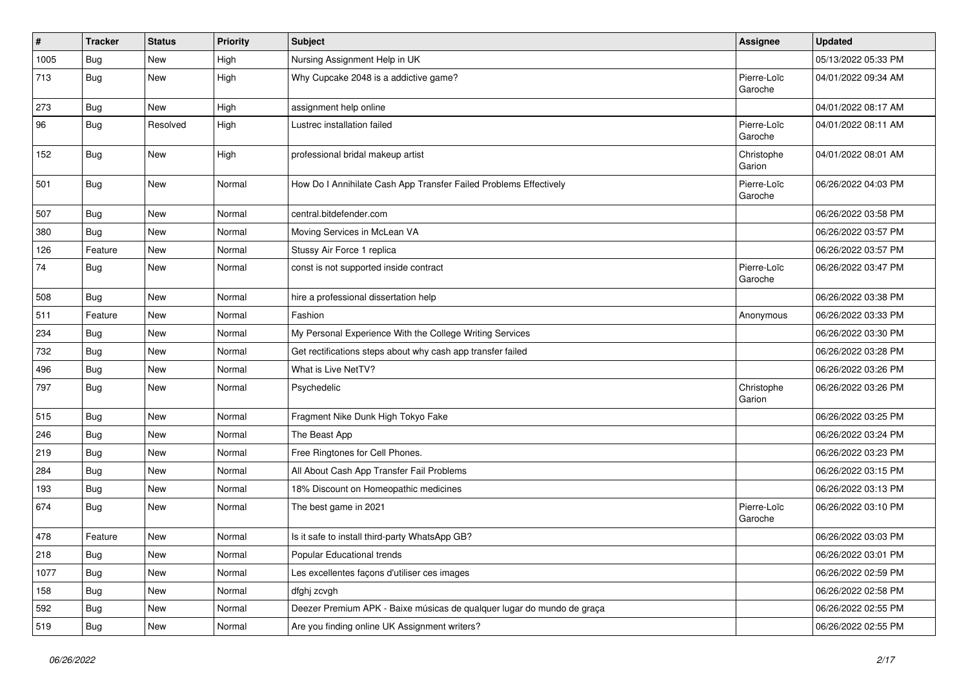| $\#$ | <b>Tracker</b> | <b>Status</b> | <b>Priority</b> | <b>Subject</b>                                                         | Assignee               | <b>Updated</b>      |
|------|----------------|---------------|-----------------|------------------------------------------------------------------------|------------------------|---------------------|
| 1005 | <b>Bug</b>     | New           | High            | Nursing Assignment Help in UK                                          |                        | 05/13/2022 05:33 PM |
| 713  | Bug            | <b>New</b>    | High            | Why Cupcake 2048 is a addictive game?                                  | Pierre-Loïc<br>Garoche | 04/01/2022 09:34 AM |
| 273  | <b>Bug</b>     | New           | High            | assignment help online                                                 |                        | 04/01/2022 08:17 AM |
| 96   | Bug            | Resolved      | High            | Lustrec installation failed                                            | Pierre-Loïc<br>Garoche | 04/01/2022 08:11 AM |
| 152  | Bug            | <b>New</b>    | High            | professional bridal makeup artist                                      | Christophe<br>Garion   | 04/01/2022 08:01 AM |
| 501  | <b>Bug</b>     | New           | Normal          | How Do I Annihilate Cash App Transfer Failed Problems Effectively      | Pierre-Loïc<br>Garoche | 06/26/2022 04:03 PM |
| 507  | <b>Bug</b>     | New           | Normal          | central.bitdefender.com                                                |                        | 06/26/2022 03:58 PM |
| 380  | Bug            | New           | Normal          | Moving Services in McLean VA                                           |                        | 06/26/2022 03:57 PM |
| 126  | Feature        | New           | Normal          | Stussy Air Force 1 replica                                             |                        | 06/26/2022 03:57 PM |
| 74   | Bug            | New           | Normal          | const is not supported inside contract                                 | Pierre-Loïc<br>Garoche | 06/26/2022 03:47 PM |
| 508  | Bug            | New           | Normal          | hire a professional dissertation help                                  |                        | 06/26/2022 03:38 PM |
| 511  | Feature        | New           | Normal          | Fashion                                                                | Anonymous              | 06/26/2022 03:33 PM |
| 234  | Bug            | <b>New</b>    | Normal          | My Personal Experience With the College Writing Services               |                        | 06/26/2022 03:30 PM |
| 732  | Bug            | New           | Normal          | Get rectifications steps about why cash app transfer failed            |                        | 06/26/2022 03:28 PM |
| 496  | <b>Bug</b>     | New           | Normal          | What is Live NetTV?                                                    |                        | 06/26/2022 03:26 PM |
| 797  | Bug            | <b>New</b>    | Normal          | Psychedelic                                                            | Christophe<br>Garion   | 06/26/2022 03:26 PM |
| 515  | Bug            | New           | Normal          | Fragment Nike Dunk High Tokyo Fake                                     |                        | 06/26/2022 03:25 PM |
| 246  | <b>Bug</b>     | New           | Normal          | The Beast App                                                          |                        | 06/26/2022 03:24 PM |
| 219  | Bug            | New           | Normal          | Free Ringtones for Cell Phones.                                        |                        | 06/26/2022 03:23 PM |
| 284  | Bug            | <b>New</b>    | Normal          | All About Cash App Transfer Fail Problems                              |                        | 06/26/2022 03:15 PM |
| 193  | <b>Bug</b>     | New           | Normal          | 18% Discount on Homeopathic medicines                                  |                        | 06/26/2022 03:13 PM |
| 674  | <b>Bug</b>     | New           | Normal          | The best game in 2021                                                  | Pierre-Loïc<br>Garoche | 06/26/2022 03:10 PM |
| 478  | Feature        | New           | Normal          | Is it safe to install third-party WhatsApp GB?                         |                        | 06/26/2022 03:03 PM |
| 218  | Bug            | New           | Normal          | Popular Educational trends                                             |                        | 06/26/2022 03:01 PM |
| 1077 | <b>Bug</b>     | New           | Normal          | Les excellentes façons d'utiliser ces images                           |                        | 06/26/2022 02:59 PM |
| 158  | <b>Bug</b>     | New           | Normal          | dfghj zcvgh                                                            |                        | 06/26/2022 02:58 PM |
| 592  | <b>Bug</b>     | New           | Normal          | Deezer Premium APK - Baixe músicas de qualquer lugar do mundo de graça |                        | 06/26/2022 02:55 PM |
| 519  | <b>Bug</b>     | New           | Normal          | Are you finding online UK Assignment writers?                          |                        | 06/26/2022 02:55 PM |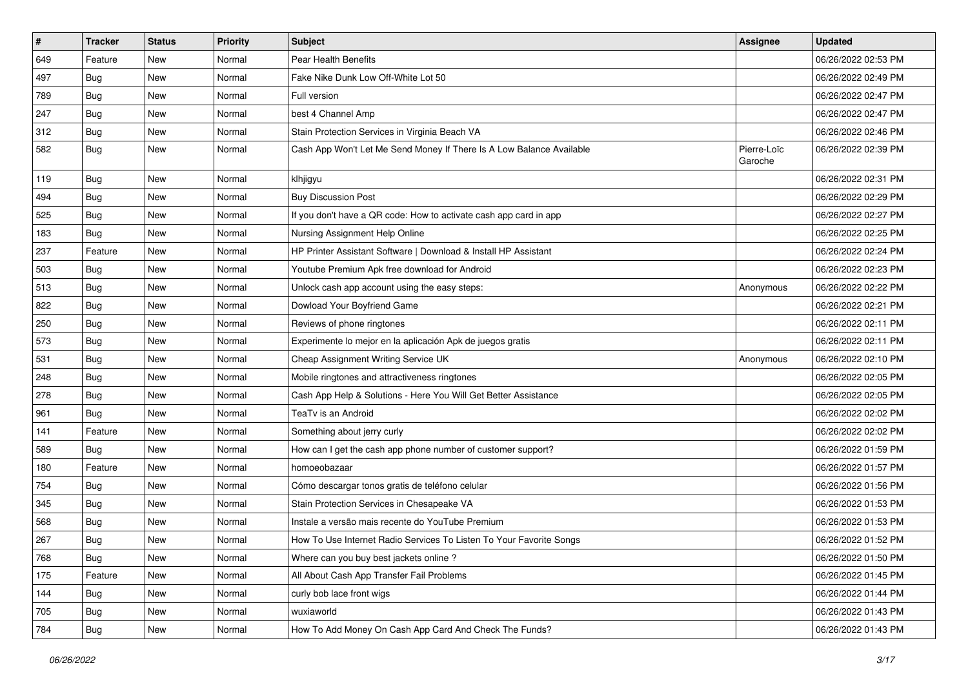| $\vert$ # | <b>Tracker</b> | <b>Status</b> | <b>Priority</b> | <b>Subject</b>                                                       | <b>Assignee</b>        | <b>Updated</b>      |
|-----------|----------------|---------------|-----------------|----------------------------------------------------------------------|------------------------|---------------------|
| 649       | Feature        | New           | Normal          | Pear Health Benefits                                                 |                        | 06/26/2022 02:53 PM |
| 497       | Bug            | <b>New</b>    | Normal          | Fake Nike Dunk Low Off-White Lot 50                                  |                        | 06/26/2022 02:49 PM |
| 789       | <b>Bug</b>     | New           | Normal          | Full version                                                         |                        | 06/26/2022 02:47 PM |
| 247       | <b>Bug</b>     | New           | Normal          | best 4 Channel Amp                                                   |                        | 06/26/2022 02:47 PM |
| 312       | <b>Bug</b>     | <b>New</b>    | Normal          | Stain Protection Services in Virginia Beach VA                       |                        | 06/26/2022 02:46 PM |
| 582       | <b>Bug</b>     | New           | Normal          | Cash App Won't Let Me Send Money If There Is A Low Balance Available | Pierre-Loïc<br>Garoche | 06/26/2022 02:39 PM |
| 119       | Bug            | <b>New</b>    | Normal          | klhjigyu                                                             |                        | 06/26/2022 02:31 PM |
| 494       | <b>Bug</b>     | New           | Normal          | <b>Buy Discussion Post</b>                                           |                        | 06/26/2022 02:29 PM |
| 525       | Bug            | <b>New</b>    | Normal          | If you don't have a QR code: How to activate cash app card in app    |                        | 06/26/2022 02:27 PM |
| 183       | Bug            | <b>New</b>    | Normal          | Nursing Assignment Help Online                                       |                        | 06/26/2022 02:25 PM |
| 237       | Feature        | <b>New</b>    | Normal          | HP Printer Assistant Software   Download & Install HP Assistant      |                        | 06/26/2022 02:24 PM |
| 503       | <b>Bug</b>     | New           | Normal          | Youtube Premium Apk free download for Android                        |                        | 06/26/2022 02:23 PM |
| 513       | Bug            | <b>New</b>    | Normal          | Unlock cash app account using the easy steps:                        | Anonymous              | 06/26/2022 02:22 PM |
| 822       | Bug            | <b>New</b>    | Normal          | Dowload Your Boyfriend Game                                          |                        | 06/26/2022 02:21 PM |
| 250       | <b>Bug</b>     | New           | Normal          | Reviews of phone ringtones                                           |                        | 06/26/2022 02:11 PM |
| 573       | Bug            | New           | Normal          | Experimente lo mejor en la aplicación Apk de juegos gratis           |                        | 06/26/2022 02:11 PM |
| 531       | Bug            | <b>New</b>    | Normal          | Cheap Assignment Writing Service UK                                  | Anonymous              | 06/26/2022 02:10 PM |
| 248       | Bug            | <b>New</b>    | Normal          | Mobile ringtones and attractiveness ringtones                        |                        | 06/26/2022 02:05 PM |
| 278       | Bug            | <b>New</b>    | Normal          | Cash App Help & Solutions - Here You Will Get Better Assistance      |                        | 06/26/2022 02:05 PM |
| 961       | <b>Bug</b>     | New           | Normal          | TeaTv is an Android                                                  |                        | 06/26/2022 02:02 PM |
| 141       | Feature        | <b>New</b>    | Normal          | Something about jerry curly                                          |                        | 06/26/2022 02:02 PM |
| 589       | Bug            | <b>New</b>    | Normal          | How can I get the cash app phone number of customer support?         |                        | 06/26/2022 01:59 PM |
| 180       | Feature        | New           | Normal          | homoeobazaar                                                         |                        | 06/26/2022 01:57 PM |
| 754       | Bug            | <b>New</b>    | Normal          | Cómo descargar tonos gratis de teléfono celular                      |                        | 06/26/2022 01:56 PM |
| 345       | <b>Bug</b>     | New           | Normal          | Stain Protection Services in Chesapeake VA                           |                        | 06/26/2022 01:53 PM |
| 568       | <b>Bug</b>     | New           | Normal          | Instale a versão mais recente do YouTube Premium                     |                        | 06/26/2022 01:53 PM |
| 267       | Bug            | New           | Normal          | How To Use Internet Radio Services To Listen To Your Favorite Songs  |                        | 06/26/2022 01:52 PM |
| 768       | Bug            | New           | Normal          | Where can you buy best jackets online?                               |                        | 06/26/2022 01:50 PM |
| 175       | Feature        | <b>New</b>    | Normal          | All About Cash App Transfer Fail Problems                            |                        | 06/26/2022 01:45 PM |
| 144       | <b>Bug</b>     | New           | Normal          | curly bob lace front wigs                                            |                        | 06/26/2022 01:44 PM |
| 705       | <b>Bug</b>     | New           | Normal          | wuxiaworld                                                           |                        | 06/26/2022 01:43 PM |
| 784       | <b>Bug</b>     | New           | Normal          | How To Add Money On Cash App Card And Check The Funds?               |                        | 06/26/2022 01:43 PM |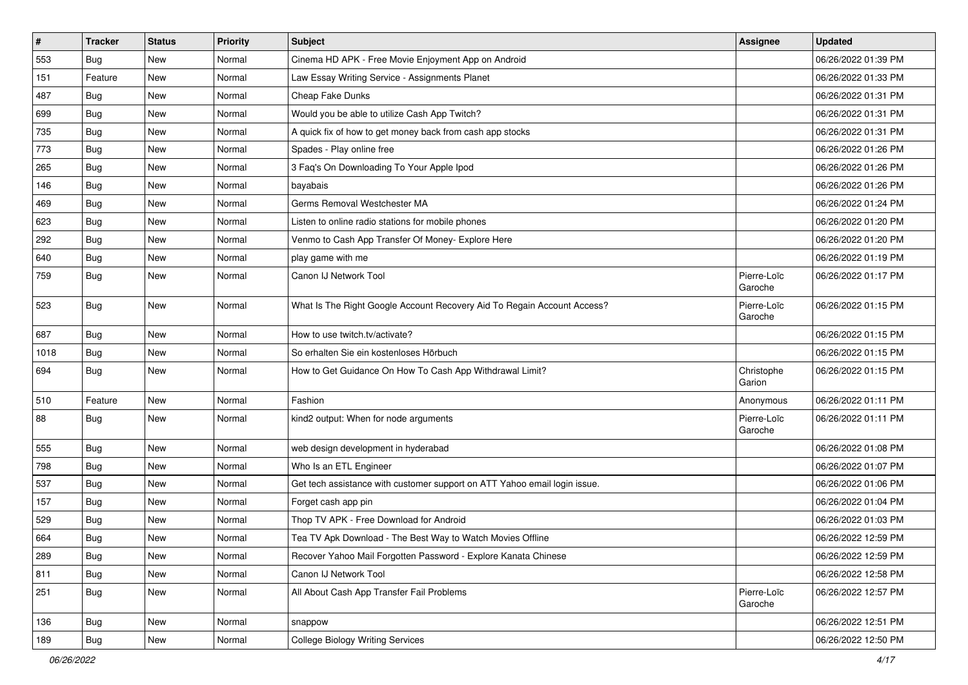| $\vert$ # | <b>Tracker</b> | <b>Status</b> | <b>Priority</b> | <b>Subject</b>                                                            | <b>Assignee</b>        | <b>Updated</b>      |
|-----------|----------------|---------------|-----------------|---------------------------------------------------------------------------|------------------------|---------------------|
| 553       | <b>Bug</b>     | New           | Normal          | Cinema HD APK - Free Movie Enjoyment App on Android                       |                        | 06/26/2022 01:39 PM |
| 151       | Feature        | <b>New</b>    | Normal          | Law Essay Writing Service - Assignments Planet                            |                        | 06/26/2022 01:33 PM |
| 487       | <b>Bug</b>     | New           | Normal          | Cheap Fake Dunks                                                          |                        | 06/26/2022 01:31 PM |
| 699       | Bug            | New           | Normal          | Would you be able to utilize Cash App Twitch?                             |                        | 06/26/2022 01:31 PM |
| 735       | Bug            | <b>New</b>    | Normal          | A quick fix of how to get money back from cash app stocks                 |                        | 06/26/2022 01:31 PM |
| 773       | Bug            | New           | Normal          | Spades - Play online free                                                 |                        | 06/26/2022 01:26 PM |
| 265       | Bug            | New           | Normal          | 3 Faq's On Downloading To Your Apple Ipod                                 |                        | 06/26/2022 01:26 PM |
| 146       | <b>Bug</b>     | New           | Normal          | bayabais                                                                  |                        | 06/26/2022 01:26 PM |
| 469       | <b>Bug</b>     | New           | Normal          | Germs Removal Westchester MA                                              |                        | 06/26/2022 01:24 PM |
| 623       | Bug            | <b>New</b>    | Normal          | Listen to online radio stations for mobile phones                         |                        | 06/26/2022 01:20 PM |
| 292       | <b>Bug</b>     | New           | Normal          | Venmo to Cash App Transfer Of Money- Explore Here                         |                        | 06/26/2022 01:20 PM |
| 640       | Bug            | New           | Normal          | play game with me                                                         |                        | 06/26/2022 01:19 PM |
| 759       | Bug            | <b>New</b>    | Normal          | Canon IJ Network Tool                                                     | Pierre-Loïc<br>Garoche | 06/26/2022 01:17 PM |
| 523       | Bug            | <b>New</b>    | Normal          | What Is The Right Google Account Recovery Aid To Regain Account Access?   | Pierre-Loïc<br>Garoche | 06/26/2022 01:15 PM |
| 687       | <b>Bug</b>     | <b>New</b>    | Normal          | How to use twitch.tv/activate?                                            |                        | 06/26/2022 01:15 PM |
| 1018      | Bug            | <b>New</b>    | Normal          | So erhalten Sie ein kostenloses Hörbuch                                   |                        | 06/26/2022 01:15 PM |
| 694       | Bug            | New           | Normal          | How to Get Guidance On How To Cash App Withdrawal Limit?                  | Christophe<br>Garion   | 06/26/2022 01:15 PM |
| 510       | Feature        | <b>New</b>    | Normal          | Fashion                                                                   | Anonymous              | 06/26/2022 01:11 PM |
| 88        | <b>Bug</b>     | New           | Normal          | kind2 output: When for node arguments                                     | Pierre-Loïc<br>Garoche | 06/26/2022 01:11 PM |
| 555       | Bug            | <b>New</b>    | Normal          | web design development in hyderabad                                       |                        | 06/26/2022 01:08 PM |
| 798       | <b>Bug</b>     | <b>New</b>    | Normal          | Who Is an ETL Engineer                                                    |                        | 06/26/2022 01:07 PM |
| 537       | Bug            | <b>New</b>    | Normal          | Get tech assistance with customer support on ATT Yahoo email login issue. |                        | 06/26/2022 01:06 PM |
| 157       | <b>Bug</b>     | New           | Normal          | Forget cash app pin                                                       |                        | 06/26/2022 01:04 PM |
| 529       | Bug            | New           | Normal          | Thop TV APK - Free Download for Android                                   |                        | 06/26/2022 01:03 PM |
| 664       | <b>Bug</b>     | New           | Normal          | Tea TV Apk Download - The Best Way to Watch Movies Offline                |                        | 06/26/2022 12:59 PM |
| 289       | <b>Bug</b>     | New           | Normal          | Recover Yahoo Mail Forgotten Password - Explore Kanata Chinese            |                        | 06/26/2022 12:59 PM |
| 811       | Bug            | New           | Normal          | Canon IJ Network Tool                                                     |                        | 06/26/2022 12:58 PM |
| 251       | <b>Bug</b>     | New           | Normal          | All About Cash App Transfer Fail Problems                                 | Pierre-Loïc<br>Garoche | 06/26/2022 12:57 PM |
| 136       | Bug            | New           | Normal          | snappow                                                                   |                        | 06/26/2022 12:51 PM |
| 189       | Bug            | New           | Normal          | <b>College Biology Writing Services</b>                                   |                        | 06/26/2022 12:50 PM |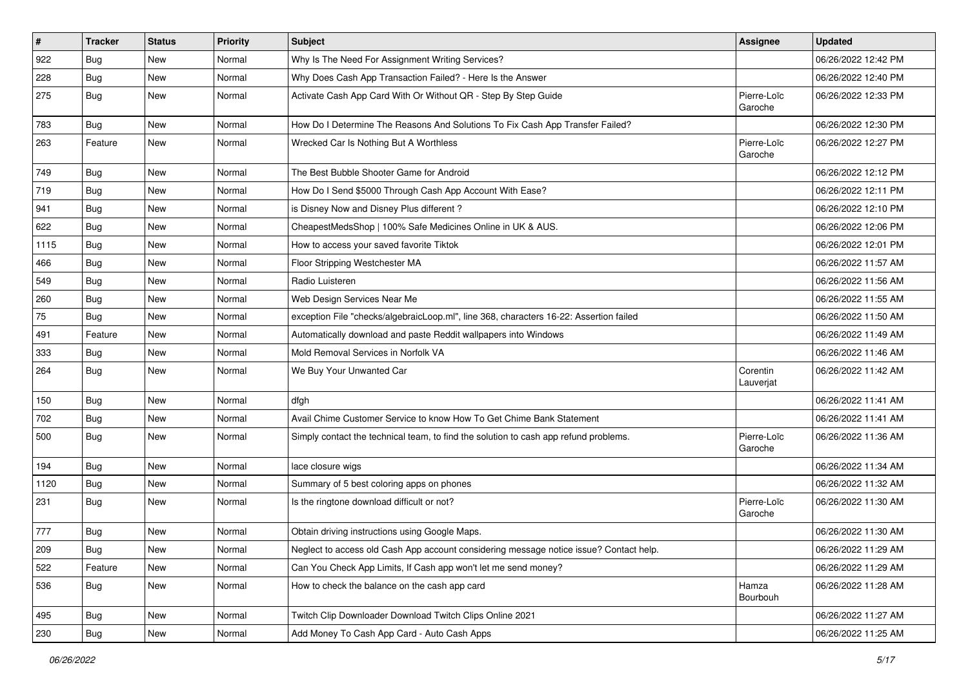| $\pmb{\#}$ | <b>Tracker</b> | <b>Status</b> | <b>Priority</b> | Subject                                                                                | Assignee               | <b>Updated</b>      |
|------------|----------------|---------------|-----------------|----------------------------------------------------------------------------------------|------------------------|---------------------|
| 922        | Bug            | New           | Normal          | Why Is The Need For Assignment Writing Services?                                       |                        | 06/26/2022 12:42 PM |
| 228        | Bug            | <b>New</b>    | Normal          | Why Does Cash App Transaction Failed? - Here Is the Answer                             |                        | 06/26/2022 12:40 PM |
| 275        | Bug            | New           | Normal          | Activate Cash App Card With Or Without QR - Step By Step Guide                         | Pierre-Loïc<br>Garoche | 06/26/2022 12:33 PM |
| 783        | Bug            | New           | Normal          | How Do I Determine The Reasons And Solutions To Fix Cash App Transfer Failed?          |                        | 06/26/2022 12:30 PM |
| 263        | Feature        | New           | Normal          | Wrecked Car Is Nothing But A Worthless                                                 | Pierre-Loïc<br>Garoche | 06/26/2022 12:27 PM |
| 749        | Bug            | <b>New</b>    | Normal          | The Best Bubble Shooter Game for Android                                               |                        | 06/26/2022 12:12 PM |
| 719        | Bug            | New           | Normal          | How Do I Send \$5000 Through Cash App Account With Ease?                               |                        | 06/26/2022 12:11 PM |
| 941        | <b>Bug</b>     | New           | Normal          | is Disney Now and Disney Plus different?                                               |                        | 06/26/2022 12:10 PM |
| 622        | <b>Bug</b>     | New           | Normal          | CheapestMedsShop   100% Safe Medicines Online in UK & AUS.                             |                        | 06/26/2022 12:06 PM |
| 1115       | <b>Bug</b>     | New           | Normal          | How to access your saved favorite Tiktok                                               |                        | 06/26/2022 12:01 PM |
| 466        | Bug            | New           | Normal          | Floor Stripping Westchester MA                                                         |                        | 06/26/2022 11:57 AM |
| 549        | <b>Bug</b>     | New           | Normal          | Radio Luisteren                                                                        |                        | 06/26/2022 11:56 AM |
| 260        | <b>Bug</b>     | New           | Normal          | Web Design Services Near Me                                                            |                        | 06/26/2022 11:55 AM |
| 75         | <b>Bug</b>     | New           | Normal          | exception File "checks/algebraicLoop.ml", line 368, characters 16-22: Assertion failed |                        | 06/26/2022 11:50 AM |
| 491        | Feature        | New           | Normal          | Automatically download and paste Reddit wallpapers into Windows                        |                        | 06/26/2022 11:49 AM |
| 333        | <b>Bug</b>     | New           | Normal          | Mold Removal Services in Norfolk VA                                                    |                        | 06/26/2022 11:46 AM |
| 264        | Bug            | New           | Normal          | We Buy Your Unwanted Car                                                               | Corentin<br>Lauverjat  | 06/26/2022 11:42 AM |
| 150        | Bug            | New           | Normal          | dfgh                                                                                   |                        | 06/26/2022 11:41 AM |
| 702        | Bug            | New           | Normal          | Avail Chime Customer Service to know How To Get Chime Bank Statement                   |                        | 06/26/2022 11:41 AM |
| 500        | Bug            | <b>New</b>    | Normal          | Simply contact the technical team, to find the solution to cash app refund problems.   | Pierre-Loïc<br>Garoche | 06/26/2022 11:36 AM |
| 194        | <b>Bug</b>     | New           | Normal          | lace closure wigs                                                                      |                        | 06/26/2022 11:34 AM |
| 1120       | Bug            | New           | Normal          | Summary of 5 best coloring apps on phones                                              |                        | 06/26/2022 11:32 AM |
| 231        | Bug            | New           | Normal          | Is the ringtone download difficult or not?                                             | Pierre-Loïc<br>Garoche | 06/26/2022 11:30 AM |
| 777        | Bug            | New           | Normal          | Obtain driving instructions using Google Maps.                                         |                        | 06/26/2022 11:30 AM |
| 209        | Bug            | New           | Normal          | Neglect to access old Cash App account considering message notice issue? Contact help. |                        | 06/26/2022 11:29 AM |
| 522        | Feature        | New           | Normal          | Can You Check App Limits, If Cash app won't let me send money?                         |                        | 06/26/2022 11:29 AM |
| 536        | Bug            | New           | Normal          | How to check the balance on the cash app card                                          | Hamza<br>Bourbouh      | 06/26/2022 11:28 AM |
| 495        | Bug            | New           | Normal          | Twitch Clip Downloader Download Twitch Clips Online 2021                               |                        | 06/26/2022 11:27 AM |
| 230        | Bug            | New           | Normal          | Add Money To Cash App Card - Auto Cash Apps                                            |                        | 06/26/2022 11:25 AM |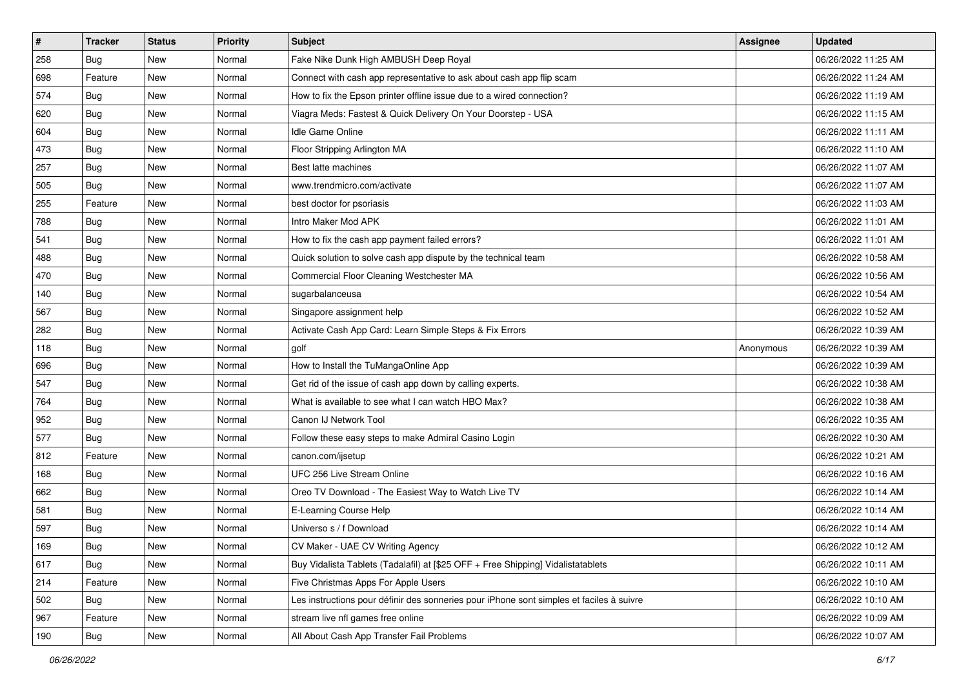| $\pmb{\#}$ | <b>Tracker</b> | <b>Status</b> | <b>Priority</b> | Subject                                                                                  | Assignee  | <b>Updated</b>      |
|------------|----------------|---------------|-----------------|------------------------------------------------------------------------------------------|-----------|---------------------|
| 258        | Bug            | New           | Normal          | Fake Nike Dunk High AMBUSH Deep Royal                                                    |           | 06/26/2022 11:25 AM |
| 698        | Feature        | New           | Normal          | Connect with cash app representative to ask about cash app flip scam                     |           | 06/26/2022 11:24 AM |
| 574        | Bug            | New           | Normal          | How to fix the Epson printer offline issue due to a wired connection?                    |           | 06/26/2022 11:19 AM |
| 620        | <b>Bug</b>     | New           | Normal          | Viagra Meds: Fastest & Quick Delivery On Your Doorstep - USA                             |           | 06/26/2022 11:15 AM |
| 604        | Bug            | <b>New</b>    | Normal          | Idle Game Online                                                                         |           | 06/26/2022 11:11 AM |
| 473        | Bug            | New           | Normal          | Floor Stripping Arlington MA                                                             |           | 06/26/2022 11:10 AM |
| 257        | Bug            | New           | Normal          | Best latte machines                                                                      |           | 06/26/2022 11:07 AM |
| 505        | Bug            | New           | Normal          | www.trendmicro.com/activate                                                              |           | 06/26/2022 11:07 AM |
| 255        | Feature        | New           | Normal          | best doctor for psoriasis                                                                |           | 06/26/2022 11:03 AM |
| 788        | Bug            | <b>New</b>    | Normal          | Intro Maker Mod APK                                                                      |           | 06/26/2022 11:01 AM |
| 541        | <b>Bug</b>     | New           | Normal          | How to fix the cash app payment failed errors?                                           |           | 06/26/2022 11:01 AM |
| 488        | Bug            | New           | Normal          | Quick solution to solve cash app dispute by the technical team                           |           | 06/26/2022 10:58 AM |
| 470        | Bug            | New           | Normal          | Commercial Floor Cleaning Westchester MA                                                 |           | 06/26/2022 10:56 AM |
| 140        | <b>Bug</b>     | New           | Normal          | sugarbalanceusa                                                                          |           | 06/26/2022 10:54 AM |
| 567        | Bug            | <b>New</b>    | Normal          | Singapore assignment help                                                                |           | 06/26/2022 10:52 AM |
| 282        | Bug            | New           | Normal          | Activate Cash App Card: Learn Simple Steps & Fix Errors                                  |           | 06/26/2022 10:39 AM |
| 118        | Bug            | New           | Normal          | golf                                                                                     | Anonymous | 06/26/2022 10:39 AM |
| 696        | Bug            | <b>New</b>    | Normal          | How to Install the TuMangaOnline App                                                     |           | 06/26/2022 10:39 AM |
| 547        | Bug            | New           | Normal          | Get rid of the issue of cash app down by calling experts.                                |           | 06/26/2022 10:38 AM |
| 764        | Bug            | New           | Normal          | What is available to see what I can watch HBO Max?                                       |           | 06/26/2022 10:38 AM |
| 952        | Bug            | New           | Normal          | Canon IJ Network Tool                                                                    |           | 06/26/2022 10:35 AM |
| 577        | Bug            | New           | Normal          | Follow these easy steps to make Admiral Casino Login                                     |           | 06/26/2022 10:30 AM |
| 812        | Feature        | <b>New</b>    | Normal          | canon.com/ijsetup                                                                        |           | 06/26/2022 10:21 AM |
| 168        | <b>Bug</b>     | New           | Normal          | UFC 256 Live Stream Online                                                               |           | 06/26/2022 10:16 AM |
| 662        | Bug            | New           | Normal          | Oreo TV Download - The Easiest Way to Watch Live TV                                      |           | 06/26/2022 10:14 AM |
| 581        | Bug            | New           | Normal          | E-Learning Course Help                                                                   |           | 06/26/2022 10:14 AM |
| 597        | Bug            | New           | Normal          | Universo s / f Download                                                                  |           | 06/26/2022 10:14 AM |
| 169        | <b>Bug</b>     | New           | Normal          | CV Maker - UAE CV Writing Agency                                                         |           | 06/26/2022 10:12 AM |
| 617        | Bug            | New           | Normal          | Buy Vidalista Tablets (Tadalafil) at [\$25 OFF + Free Shipping] Vidalistatablets         |           | 06/26/2022 10:11 AM |
| 214        | Feature        | New           | Normal          | Five Christmas Apps For Apple Users                                                      |           | 06/26/2022 10:10 AM |
| 502        | Bug            | New           | Normal          | Les instructions pour définir des sonneries pour iPhone sont simples et faciles à suivre |           | 06/26/2022 10:10 AM |
| 967        | Feature        | New           | Normal          | stream live nfl games free online                                                        |           | 06/26/2022 10:09 AM |
| 190        | <b>Bug</b>     | New           | Normal          | All About Cash App Transfer Fail Problems                                                |           | 06/26/2022 10:07 AM |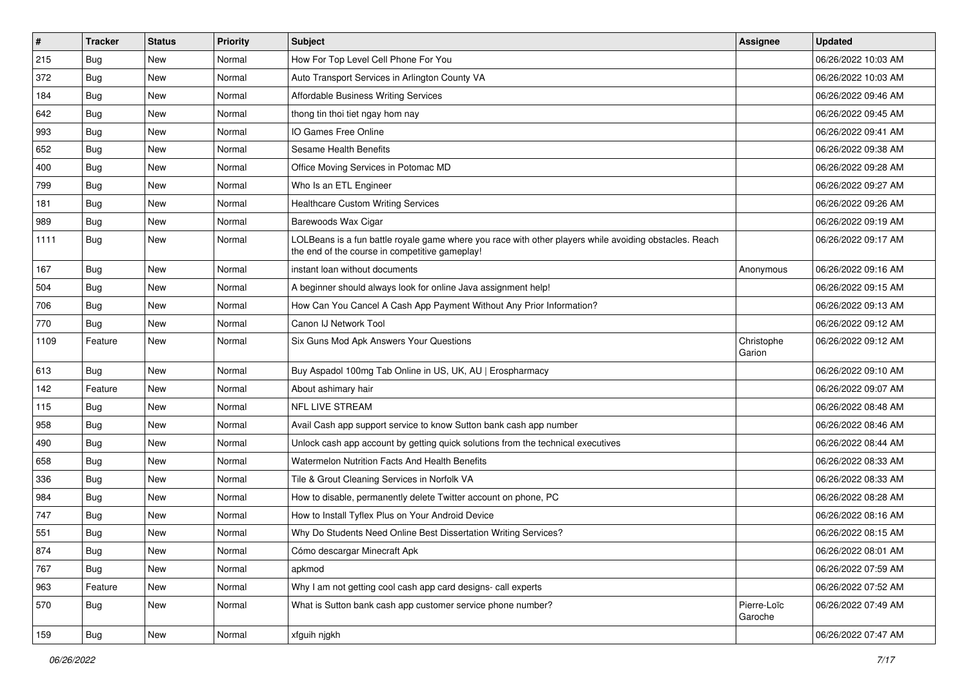| $\vert$ # | <b>Tracker</b> | <b>Status</b> | <b>Priority</b> | <b>Subject</b>                                                                                                                                           | <b>Assignee</b>        | <b>Updated</b>      |
|-----------|----------------|---------------|-----------------|----------------------------------------------------------------------------------------------------------------------------------------------------------|------------------------|---------------------|
| 215       | Bug            | New           | Normal          | How For Top Level Cell Phone For You                                                                                                                     |                        | 06/26/2022 10:03 AM |
| 372       | Bug            | <b>New</b>    | Normal          | Auto Transport Services in Arlington County VA                                                                                                           |                        | 06/26/2022 10:03 AM |
| 184       | <b>Bug</b>     | New           | Normal          | <b>Affordable Business Writing Services</b>                                                                                                              |                        | 06/26/2022 09:46 AM |
| 642       | Bug            | New           | Normal          | thong tin thoi tiet ngay hom nay                                                                                                                         |                        | 06/26/2022 09:45 AM |
| 993       | <b>Bug</b>     | <b>New</b>    | Normal          | IO Games Free Online                                                                                                                                     |                        | 06/26/2022 09:41 AM |
| 652       | Bug            | New           | Normal          | Sesame Health Benefits                                                                                                                                   |                        | 06/26/2022 09:38 AM |
| 400       | Bug            | New           | Normal          | Office Moving Services in Potomac MD                                                                                                                     |                        | 06/26/2022 09:28 AM |
| 799       | <b>Bug</b>     | New           | Normal          | Who Is an ETL Engineer                                                                                                                                   |                        | 06/26/2022 09:27 AM |
| 181       | <b>Bug</b>     | New           | Normal          | <b>Healthcare Custom Writing Services</b>                                                                                                                |                        | 06/26/2022 09:26 AM |
| 989       | Bug            | <b>New</b>    | Normal          | Barewoods Wax Cigar                                                                                                                                      |                        | 06/26/2022 09:19 AM |
| 1111      | <b>Bug</b>     | New           | Normal          | LOLBeans is a fun battle royale game where you race with other players while avoiding obstacles. Reach<br>the end of the course in competitive gameplay! |                        | 06/26/2022 09:17 AM |
| 167       | Bug            | <b>New</b>    | Normal          | instant loan without documents                                                                                                                           | Anonymous              | 06/26/2022 09:16 AM |
| 504       | Bug            | New           | Normal          | A beginner should always look for online Java assignment help!                                                                                           |                        | 06/26/2022 09:15 AM |
| 706       | Bug            | <b>New</b>    | Normal          | How Can You Cancel A Cash App Payment Without Any Prior Information?                                                                                     |                        | 06/26/2022 09:13 AM |
| 770       | <b>Bug</b>     | New           | Normal          | Canon IJ Network Tool                                                                                                                                    |                        | 06/26/2022 09:12 AM |
| 1109      | Feature        | New           | Normal          | Six Guns Mod Apk Answers Your Questions                                                                                                                  | Christophe<br>Garion   | 06/26/2022 09:12 AM |
| 613       | Bug            | <b>New</b>    | Normal          | Buy Aspadol 100mg Tab Online in US, UK, AU   Erospharmacy                                                                                                |                        | 06/26/2022 09:10 AM |
| 142       | Feature        | New           | Normal          | About ashimary hair                                                                                                                                      |                        | 06/26/2022 09:07 AM |
| 115       | <b>Bug</b>     | New           | Normal          | NFL LIVE STREAM                                                                                                                                          |                        | 06/26/2022 08:48 AM |
| 958       | Bug            | <b>New</b>    | Normal          | Avail Cash app support service to know Sutton bank cash app number                                                                                       |                        | 06/26/2022 08:46 AM |
| 490       | Bug            | <b>New</b>    | Normal          | Unlock cash app account by getting quick solutions from the technical executives                                                                         |                        | 06/26/2022 08:44 AM |
| 658       | <b>Bug</b>     | New           | Normal          | Watermelon Nutrition Facts And Health Benefits                                                                                                           |                        | 06/26/2022 08:33 AM |
| 336       | Bug            | New           | Normal          | Tile & Grout Cleaning Services in Norfolk VA                                                                                                             |                        | 06/26/2022 08:33 AM |
| 984       | Bug            | New           | Normal          | How to disable, permanently delete Twitter account on phone, PC                                                                                          |                        | 06/26/2022 08:28 AM |
| 747       | <b>Bug</b>     | <b>New</b>    | Normal          | How to Install Tyflex Plus on Your Android Device                                                                                                        |                        | 06/26/2022 08:16 AM |
| 551       | Bug            | New           | Normal          | Why Do Students Need Online Best Dissertation Writing Services?                                                                                          |                        | 06/26/2022 08:15 AM |
| 874       | <b>Bug</b>     | New           | Normal          | Cómo descargar Minecraft Apk                                                                                                                             |                        | 06/26/2022 08:01 AM |
| 767       | Bug            | <b>New</b>    | Normal          | apkmod                                                                                                                                                   |                        | 06/26/2022 07:59 AM |
| 963       | Feature        | New           | Normal          | Why I am not getting cool cash app card designs- call experts                                                                                            |                        | 06/26/2022 07:52 AM |
| 570       | <b>Bug</b>     | New           | Normal          | What is Sutton bank cash app customer service phone number?                                                                                              | Pierre-Loïc<br>Garoche | 06/26/2022 07:49 AM |
| 159       | <b>Bug</b>     | New           | Normal          | xfguih njgkh                                                                                                                                             |                        | 06/26/2022 07:47 AM |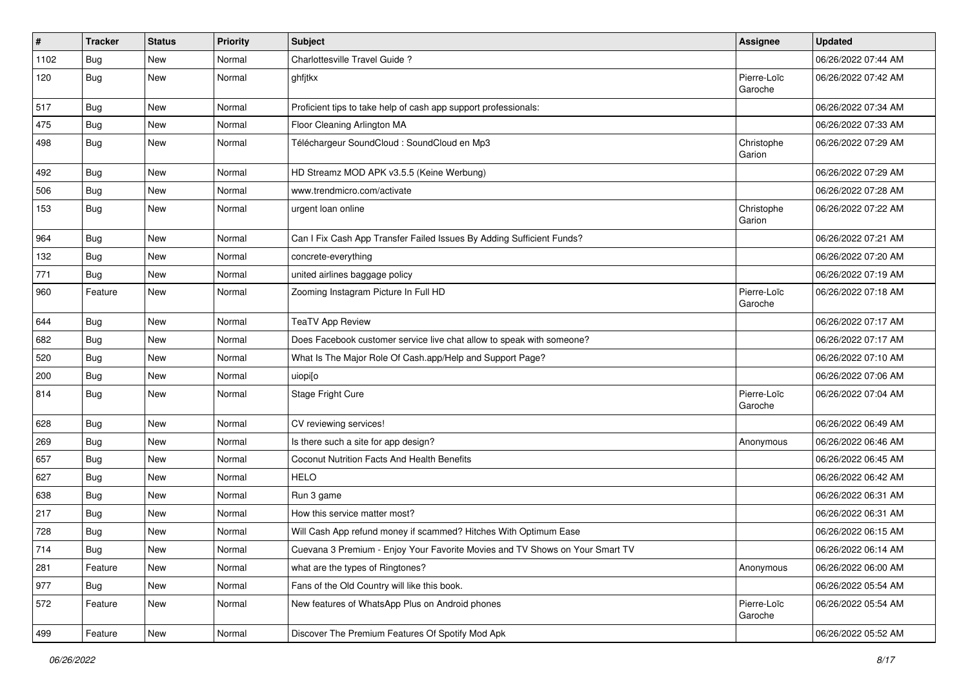| #    | <b>Tracker</b> | <b>Status</b> | Priority | <b>Subject</b>                                                               | <b>Assignee</b>        | <b>Updated</b>      |
|------|----------------|---------------|----------|------------------------------------------------------------------------------|------------------------|---------------------|
| 1102 | <b>Bug</b>     | New           | Normal   | Charlottesville Travel Guide?                                                |                        | 06/26/2022 07:44 AM |
| 120  | Bug            | New           | Normal   | ghfjtkx                                                                      | Pierre-Loïc<br>Garoche | 06/26/2022 07:42 AM |
| 517  | <b>Bug</b>     | New           | Normal   | Proficient tips to take help of cash app support professionals:              |                        | 06/26/2022 07:34 AM |
| 475  | Bug            | New           | Normal   | Floor Cleaning Arlington MA                                                  |                        | 06/26/2022 07:33 AM |
| 498  | <b>Bug</b>     | New           | Normal   | Téléchargeur SoundCloud : SoundCloud en Mp3                                  | Christophe<br>Garion   | 06/26/2022 07:29 AM |
| 492  | <b>Bug</b>     | New           | Normal   | HD Streamz MOD APK v3.5.5 (Keine Werbung)                                    |                        | 06/26/2022 07:29 AM |
| 506  | <b>Bug</b>     | New           | Normal   | www.trendmicro.com/activate                                                  |                        | 06/26/2022 07:28 AM |
| 153  | Bug            | New           | Normal   | urgent loan online                                                           | Christophe<br>Garion   | 06/26/2022 07:22 AM |
| 964  | <b>Bug</b>     | New           | Normal   | Can I Fix Cash App Transfer Failed Issues By Adding Sufficient Funds?        |                        | 06/26/2022 07:21 AM |
| 132  | <b>Bug</b>     | New           | Normal   | concrete-everything                                                          |                        | 06/26/2022 07:20 AM |
| 771  | Bug            | New           | Normal   | united airlines baggage policy                                               |                        | 06/26/2022 07:19 AM |
| 960  | Feature        | New           | Normal   | Zooming Instagram Picture In Full HD                                         | Pierre-Loïc<br>Garoche | 06/26/2022 07:18 AM |
| 644  | Bug            | New           | Normal   | <b>TeaTV App Review</b>                                                      |                        | 06/26/2022 07:17 AM |
| 682  | <b>Bug</b>     | New           | Normal   | Does Facebook customer service live chat allow to speak with someone?        |                        | 06/26/2022 07:17 AM |
| 520  | <b>Bug</b>     | New           | Normal   | What Is The Major Role Of Cash.app/Help and Support Page?                    |                        | 06/26/2022 07:10 AM |
| 200  | Bug            | New           | Normal   | uiopi[o                                                                      |                        | 06/26/2022 07:06 AM |
| 814  | Bug            | New           | Normal   | <b>Stage Fright Cure</b>                                                     | Pierre-Loïc<br>Garoche | 06/26/2022 07:04 AM |
| 628  | Bug            | New           | Normal   | CV reviewing services!                                                       |                        | 06/26/2022 06:49 AM |
| 269  | <b>Bug</b>     | New           | Normal   | Is there such a site for app design?                                         | Anonymous              | 06/26/2022 06:46 AM |
| 657  | <b>Bug</b>     | New           | Normal   | Coconut Nutrition Facts And Health Benefits                                  |                        | 06/26/2022 06:45 AM |
| 627  | Bug            | New           | Normal   | <b>HELO</b>                                                                  |                        | 06/26/2022 06:42 AM |
| 638  | <b>Bug</b>     | New           | Normal   | Run 3 game                                                                   |                        | 06/26/2022 06:31 AM |
| 217  | <b>Bug</b>     | New           | Normal   | How this service matter most?                                                |                        | 06/26/2022 06:31 AM |
| 728  | <b>Bug</b>     | New           | Normal   | Will Cash App refund money if scammed? Hitches With Optimum Ease             |                        | 06/26/2022 06:15 AM |
| 714  | <b>Bug</b>     | New           | Normal   | Cuevana 3 Premium - Enjoy Your Favorite Movies and TV Shows on Your Smart TV |                        | 06/26/2022 06:14 AM |
| 281  | Feature        | New           | Normal   | what are the types of Ringtones?                                             | Anonymous              | 06/26/2022 06:00 AM |
| 977  | Bug            | New           | Normal   | Fans of the Old Country will like this book.                                 |                        | 06/26/2022 05:54 AM |
| 572  | Feature        | New           | Normal   | New features of WhatsApp Plus on Android phones                              | Pierre-Loïc<br>Garoche | 06/26/2022 05:54 AM |
| 499  | Feature        | New           | Normal   | Discover The Premium Features Of Spotify Mod Apk                             |                        | 06/26/2022 05:52 AM |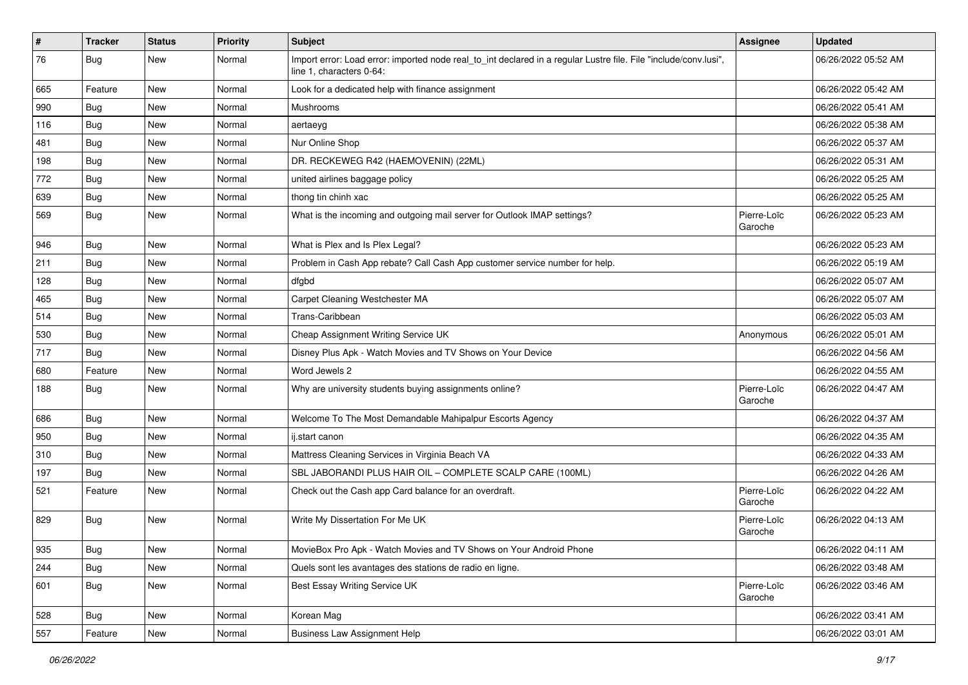| $\pmb{\#}$ | <b>Tracker</b> | <b>Status</b> | <b>Priority</b> | <b>Subject</b>                                                                                                                               | Assignee               | <b>Updated</b>      |
|------------|----------------|---------------|-----------------|----------------------------------------------------------------------------------------------------------------------------------------------|------------------------|---------------------|
| 76         | <b>Bug</b>     | New           | Normal          | Import error: Load error: imported node real_to_int declared in a regular Lustre file. File "include/conv.lusi",<br>line 1, characters 0-64: |                        | 06/26/2022 05:52 AM |
| 665        | Feature        | New           | Normal          | Look for a dedicated help with finance assignment                                                                                            |                        | 06/26/2022 05:42 AM |
| 990        | <b>Bug</b>     | New           | Normal          | Mushrooms                                                                                                                                    |                        | 06/26/2022 05:41 AM |
| 116        | <b>Bug</b>     | New           | Normal          | aertaeyg                                                                                                                                     |                        | 06/26/2022 05:38 AM |
| 481        | Bug            | New           | Normal          | Nur Online Shop                                                                                                                              |                        | 06/26/2022 05:37 AM |
| 198        | <b>Bug</b>     | New           | Normal          | DR. RECKEWEG R42 (HAEMOVENIN) (22ML)                                                                                                         |                        | 06/26/2022 05:31 AM |
| 772        | Bug            | New           | Normal          | united airlines baggage policy                                                                                                               |                        | 06/26/2022 05:25 AM |
| 639        | Bug            | New           | Normal          | thong tin chinh xac                                                                                                                          |                        | 06/26/2022 05:25 AM |
| 569        | <b>Bug</b>     | New           | Normal          | What is the incoming and outgoing mail server for Outlook IMAP settings?                                                                     | Pierre-Loïc<br>Garoche | 06/26/2022 05:23 AM |
| 946        | <b>Bug</b>     | New           | Normal          | What is Plex and Is Plex Legal?                                                                                                              |                        | 06/26/2022 05:23 AM |
| 211        | <b>Bug</b>     | New           | Normal          | Problem in Cash App rebate? Call Cash App customer service number for help.                                                                  |                        | 06/26/2022 05:19 AM |
| 128        | <b>Bug</b>     | New           | Normal          | dfgbd                                                                                                                                        |                        | 06/26/2022 05:07 AM |
| 465        | <b>Bug</b>     | New           | Normal          | Carpet Cleaning Westchester MA                                                                                                               |                        | 06/26/2022 05:07 AM |
| 514        | <b>Bug</b>     | New           | Normal          | Trans-Caribbean                                                                                                                              |                        | 06/26/2022 05:03 AM |
| 530        | <b>Bug</b>     | New           | Normal          | Cheap Assignment Writing Service UK                                                                                                          | Anonymous              | 06/26/2022 05:01 AM |
| 717        | <b>Bug</b>     | New           | Normal          | Disney Plus Apk - Watch Movies and TV Shows on Your Device                                                                                   |                        | 06/26/2022 04:56 AM |
| 680        | Feature        | New           | Normal          | Word Jewels 2                                                                                                                                |                        | 06/26/2022 04:55 AM |
| 188        | <b>Bug</b>     | New           | Normal          | Why are university students buying assignments online?                                                                                       | Pierre-Loïc<br>Garoche | 06/26/2022 04:47 AM |
| 686        | <b>Bug</b>     | New           | Normal          | Welcome To The Most Demandable Mahipalpur Escorts Agency                                                                                     |                        | 06/26/2022 04:37 AM |
| 950        | <b>Bug</b>     | New           | Normal          | ij.start canon                                                                                                                               |                        | 06/26/2022 04:35 AM |
| 310        | <b>Bug</b>     | New           | Normal          | Mattress Cleaning Services in Virginia Beach VA                                                                                              |                        | 06/26/2022 04:33 AM |
| 197        | <b>Bug</b>     | New           | Normal          | SBL JABORANDI PLUS HAIR OIL - COMPLETE SCALP CARE (100ML)                                                                                    |                        | 06/26/2022 04:26 AM |
| 521        | Feature        | New           | Normal          | Check out the Cash app Card balance for an overdraft.                                                                                        | Pierre-Loïc<br>Garoche | 06/26/2022 04:22 AM |
| 829        | Bug            | New           | Normal          | Write My Dissertation For Me UK                                                                                                              | Pierre-Loïc<br>Garoche | 06/26/2022 04:13 AM |
| 935        | Bug            | New           | Normal          | MovieBox Pro Apk - Watch Movies and TV Shows on Your Android Phone                                                                           |                        | 06/26/2022 04:11 AM |
| 244        | <b>Bug</b>     | New           | Normal          | Quels sont les avantages des stations de radio en ligne.                                                                                     |                        | 06/26/2022 03:48 AM |
| 601        | <b>Bug</b>     | New           | Normal          | Best Essay Writing Service UK                                                                                                                | Pierre-Loïc<br>Garoche | 06/26/2022 03:46 AM |
| 528        | <b>Bug</b>     | New           | Normal          | Korean Mag                                                                                                                                   |                        | 06/26/2022 03:41 AM |
| 557        | Feature        | New           | Normal          | <b>Business Law Assignment Help</b>                                                                                                          |                        | 06/26/2022 03:01 AM |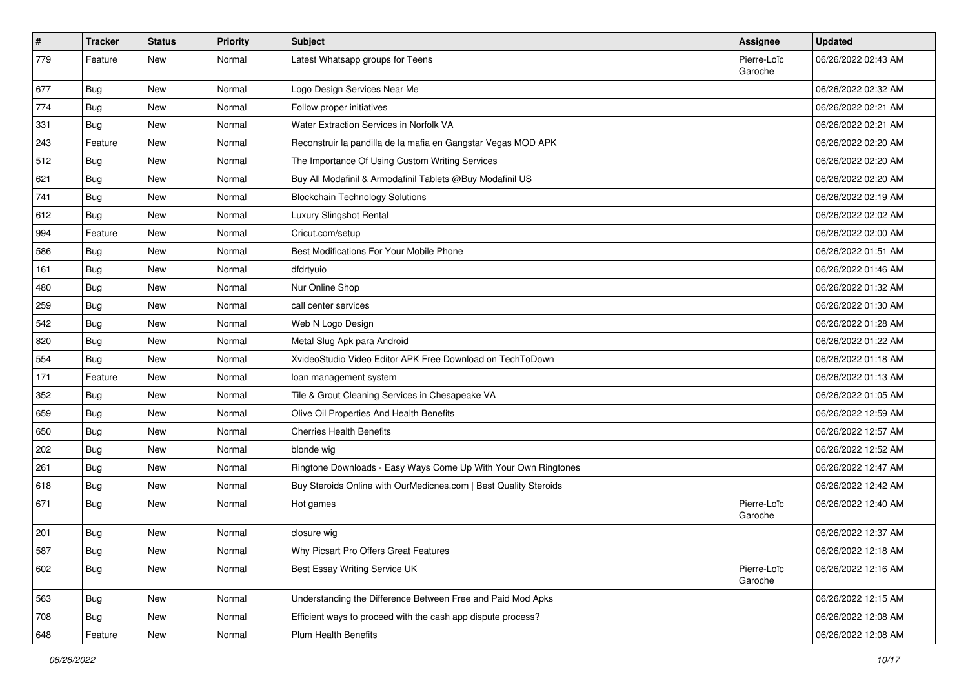| $\vert$ # | <b>Tracker</b> | <b>Status</b> | <b>Priority</b> | Subject                                                          | Assignee               | <b>Updated</b>      |
|-----------|----------------|---------------|-----------------|------------------------------------------------------------------|------------------------|---------------------|
| 779       | Feature        | New           | Normal          | Latest Whatsapp groups for Teens                                 | Pierre-Loïc<br>Garoche | 06/26/2022 02:43 AM |
| 677       | Bug            | New           | Normal          | Logo Design Services Near Me                                     |                        | 06/26/2022 02:32 AM |
| 774       | <b>Bug</b>     | New           | Normal          | Follow proper initiatives                                        |                        | 06/26/2022 02:21 AM |
| 331       | Bug            | <b>New</b>    | Normal          | Water Extraction Services in Norfolk VA                          |                        | 06/26/2022 02:21 AM |
| 243       | Feature        | <b>New</b>    | Normal          | Reconstruir la pandilla de la mafia en Gangstar Vegas MOD APK    |                        | 06/26/2022 02:20 AM |
| 512       | <b>Bug</b>     | <b>New</b>    | Normal          | The Importance Of Using Custom Writing Services                  |                        | 06/26/2022 02:20 AM |
| 621       | Bug            | New           | Normal          | Buy All Modafinil & Armodafinil Tablets @Buy Modafinil US        |                        | 06/26/2022 02:20 AM |
| 741       | <b>Bug</b>     | New           | Normal          | <b>Blockchain Technology Solutions</b>                           |                        | 06/26/2022 02:19 AM |
| 612       | Bug            | New           | Normal          | Luxury Slingshot Rental                                          |                        | 06/26/2022 02:02 AM |
| 994       | Feature        | <b>New</b>    | Normal          | Cricut.com/setup                                                 |                        | 06/26/2022 02:00 AM |
| 586       | <b>Bug</b>     | <b>New</b>    | Normal          | Best Modifications For Your Mobile Phone                         |                        | 06/26/2022 01:51 AM |
| 161       | <b>Bug</b>     | New           | Normal          | dfdrtyuio                                                        |                        | 06/26/2022 01:46 AM |
| 480       | <b>Bug</b>     | New           | Normal          | Nur Online Shop                                                  |                        | 06/26/2022 01:32 AM |
| 259       | Bug            | <b>New</b>    | Normal          | call center services                                             |                        | 06/26/2022 01:30 AM |
| 542       | <b>Bug</b>     | <b>New</b>    | Normal          | Web N Logo Design                                                |                        | 06/26/2022 01:28 AM |
| 820       | <b>Bug</b>     | New           | Normal          | Metal Slug Apk para Android                                      |                        | 06/26/2022 01:22 AM |
| 554       | Bug            | <b>New</b>    | Normal          | XvideoStudio Video Editor APK Free Download on TechToDown        |                        | 06/26/2022 01:18 AM |
| 171       | Feature        | <b>New</b>    | Normal          | loan management system                                           |                        | 06/26/2022 01:13 AM |
| 352       | Bug            | <b>New</b>    | Normal          | Tile & Grout Cleaning Services in Chesapeake VA                  |                        | 06/26/2022 01:05 AM |
| 659       | Bug            | New           | Normal          | Olive Oil Properties And Health Benefits                         |                        | 06/26/2022 12:59 AM |
| 650       | <b>Bug</b>     | <b>New</b>    | Normal          | <b>Cherries Health Benefits</b>                                  |                        | 06/26/2022 12:57 AM |
| 202       | Bug            | <b>New</b>    | Normal          | blonde wig                                                       |                        | 06/26/2022 12:52 AM |
| 261       | Bug            | New           | Normal          | Ringtone Downloads - Easy Ways Come Up With Your Own Ringtones   |                        | 06/26/2022 12:47 AM |
| 618       | <b>Bug</b>     | <b>New</b>    | Normal          | Buy Steroids Online with OurMedicnes.com   Best Quality Steroids |                        | 06/26/2022 12:42 AM |
| 671       | <b>Bug</b>     | New           | Normal          | Hot games                                                        | Pierre-Loïc<br>Garoche | 06/26/2022 12:40 AM |
| 201       | <b>Bug</b>     | <b>New</b>    | Normal          | closure wig                                                      |                        | 06/26/2022 12:37 AM |
| 587       | <b>Bug</b>     | New           | Normal          | Why Picsart Pro Offers Great Features                            |                        | 06/26/2022 12:18 AM |
| 602       | <b>Bug</b>     | New           | Normal          | Best Essay Writing Service UK                                    | Pierre-Loïc<br>Garoche | 06/26/2022 12:16 AM |
| 563       | Bug            | New           | Normal          | Understanding the Difference Between Free and Paid Mod Apks      |                        | 06/26/2022 12:15 AM |
| 708       | <b>Bug</b>     | New           | Normal          | Efficient ways to proceed with the cash app dispute process?     |                        | 06/26/2022 12:08 AM |
| 648       | Feature        | New           | Normal          | Plum Health Benefits                                             |                        | 06/26/2022 12:08 AM |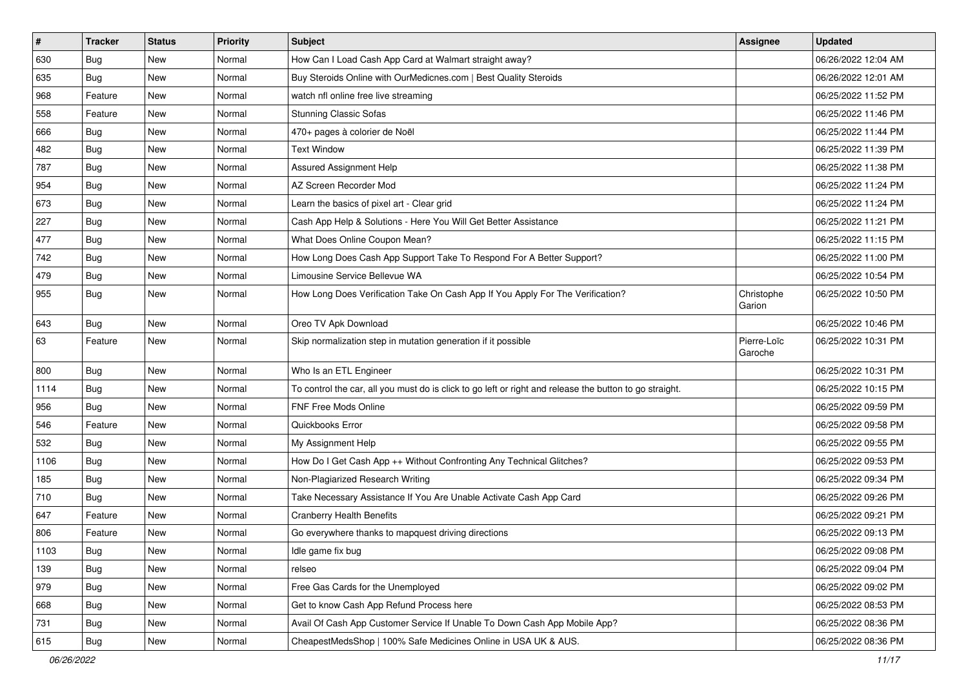| $\sharp$ | <b>Tracker</b> | <b>Status</b> | <b>Priority</b> | Subject                                                                                                 | Assignee               | <b>Updated</b>      |
|----------|----------------|---------------|-----------------|---------------------------------------------------------------------------------------------------------|------------------------|---------------------|
| 630      | Bug            | New           | Normal          | How Can I Load Cash App Card at Walmart straight away?                                                  |                        | 06/26/2022 12:04 AM |
| 635      | <b>Bug</b>     | <b>New</b>    | Normal          | Buy Steroids Online with OurMedicnes.com   Best Quality Steroids                                        |                        | 06/26/2022 12:01 AM |
| 968      | Feature        | <b>New</b>    | Normal          | watch nfl online free live streaming                                                                    |                        | 06/25/2022 11:52 PM |
| 558      | Feature        | New           | Normal          | <b>Stunning Classic Sofas</b>                                                                           |                        | 06/25/2022 11:46 PM |
| 666      | <b>Bug</b>     | <b>New</b>    | Normal          | 470+ pages à colorier de Noël                                                                           |                        | 06/25/2022 11:44 PM |
| 482      | <b>Bug</b>     | New           | Normal          | <b>Text Window</b>                                                                                      |                        | 06/25/2022 11:39 PM |
| 787      | Bug            | New           | Normal          | Assured Assignment Help                                                                                 |                        | 06/25/2022 11:38 PM |
| 954      | Bug            | New           | Normal          | AZ Screen Recorder Mod                                                                                  |                        | 06/25/2022 11:24 PM |
| 673      | <b>Bug</b>     | <b>New</b>    | Normal          | Learn the basics of pixel art - Clear grid                                                              |                        | 06/25/2022 11:24 PM |
| 227      | Bug            | <b>New</b>    | Normal          | Cash App Help & Solutions - Here You Will Get Better Assistance                                         |                        | 06/25/2022 11:21 PM |
| 477      | <b>Bug</b>     | New           | Normal          | What Does Online Coupon Mean?                                                                           |                        | 06/25/2022 11:15 PM |
| 742      | <b>Bug</b>     | New           | Normal          | How Long Does Cash App Support Take To Respond For A Better Support?                                    |                        | 06/25/2022 11:00 PM |
| 479      | Bug            | <b>New</b>    | Normal          | Limousine Service Bellevue WA                                                                           |                        | 06/25/2022 10:54 PM |
| 955      | <b>Bug</b>     | New           | Normal          | How Long Does Verification Take On Cash App If You Apply For The Verification?                          | Christophe<br>Garion   | 06/25/2022 10:50 PM |
| 643      | <b>Bug</b>     | <b>New</b>    | Normal          | Oreo TV Apk Download                                                                                    |                        | 06/25/2022 10:46 PM |
| 63       | Feature        | New           | Normal          | Skip normalization step in mutation generation if it possible                                           | Pierre-Loïc<br>Garoche | 06/25/2022 10:31 PM |
| 800      | <b>Bug</b>     | New           | Normal          | Who Is an ETL Engineer                                                                                  |                        | 06/25/2022 10:31 PM |
| 1114     | Bug            | New           | Normal          | To control the car, all you must do is click to go left or right and release the button to go straight. |                        | 06/25/2022 10:15 PM |
| 956      | Bug            | <b>New</b>    | Normal          | <b>FNF Free Mods Online</b>                                                                             |                        | 06/25/2022 09:59 PM |
| 546      | Feature        | New           | Normal          | Quickbooks Error                                                                                        |                        | 06/25/2022 09:58 PM |
| 532      | Bug            | <b>New</b>    | Normal          | My Assignment Help                                                                                      |                        | 06/25/2022 09:55 PM |
| 1106     | <b>Bug</b>     | New           | Normal          | How Do I Get Cash App ++ Without Confronting Any Technical Glitches?                                    |                        | 06/25/2022 09:53 PM |
| 185      | <b>Bug</b>     | New           | Normal          | Non-Plagiarized Research Writing                                                                        |                        | 06/25/2022 09:34 PM |
| 710      | Bug            | <b>New</b>    | Normal          | Take Necessary Assistance If You Are Unable Activate Cash App Card                                      |                        | 06/25/2022 09:26 PM |
| 647      | Feature        | New           | Normal          | <b>Cranberry Health Benefits</b>                                                                        |                        | 06/25/2022 09:21 PM |
| 806      | Feature        | <b>New</b>    | Normal          | Go everywhere thanks to mapquest driving directions                                                     |                        | 06/25/2022 09:13 PM |
| 1103     | Bug            | New           | Normal          | Idle game fix bug                                                                                       |                        | 06/25/2022 09:08 PM |
| 139      | <b>Bug</b>     | New           | Normal          | relseo                                                                                                  |                        | 06/25/2022 09:04 PM |
| 979      | Bug            | <b>New</b>    | Normal          | Free Gas Cards for the Unemployed                                                                       |                        | 06/25/2022 09:02 PM |
| 668      | Bug            | New           | Normal          | Get to know Cash App Refund Process here                                                                |                        | 06/25/2022 08:53 PM |
| 731      | Bug            | New           | Normal          | Avail Of Cash App Customer Service If Unable To Down Cash App Mobile App?                               |                        | 06/25/2022 08:36 PM |
| 615      | <b>Bug</b>     | New           | Normal          | CheapestMedsShop   100% Safe Medicines Online in USA UK & AUS.                                          |                        | 06/25/2022 08:36 PM |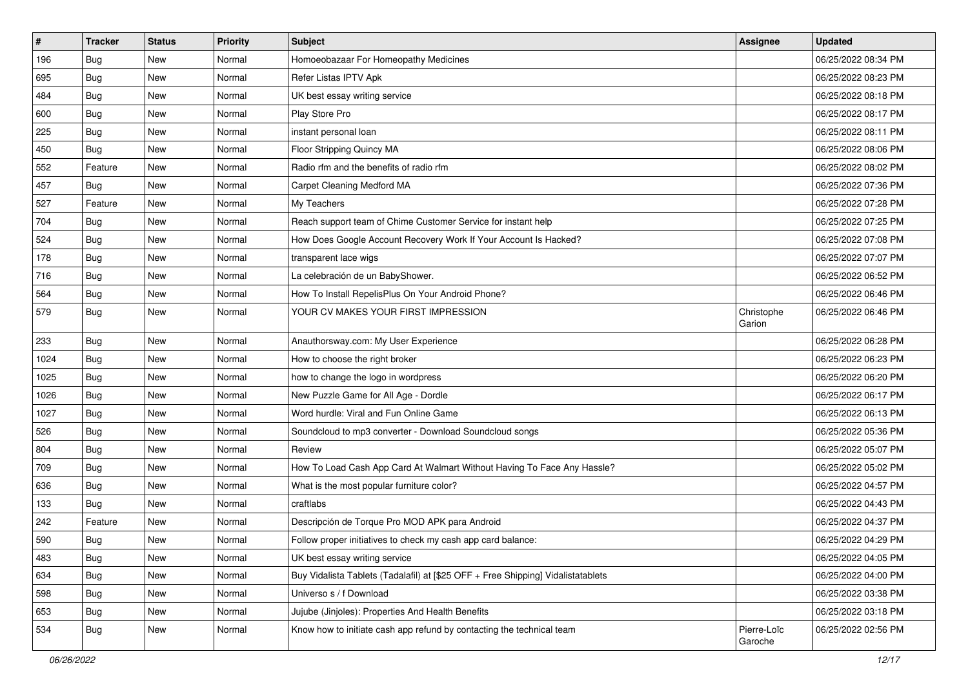| $\sharp$ | <b>Tracker</b> | <b>Status</b> | <b>Priority</b> | Subject                                                                          | Assignee               | <b>Updated</b>      |
|----------|----------------|---------------|-----------------|----------------------------------------------------------------------------------|------------------------|---------------------|
| 196      | <b>Bug</b>     | New           | Normal          | Homoeobazaar For Homeopathy Medicines                                            |                        | 06/25/2022 08:34 PM |
| 695      | Bug            | <b>New</b>    | Normal          | Refer Listas IPTV Apk                                                            |                        | 06/25/2022 08:23 PM |
| 484      | <b>Bug</b>     | New           | Normal          | UK best essay writing service                                                    |                        | 06/25/2022 08:18 PM |
| 600      | Bug            | New           | Normal          | Play Store Pro                                                                   |                        | 06/25/2022 08:17 PM |
| 225      | Bug            | <b>New</b>    | Normal          | instant personal loan                                                            |                        | 06/25/2022 08:11 PM |
| 450      | <b>Bug</b>     | New           | Normal          | Floor Stripping Quincy MA                                                        |                        | 06/25/2022 08:06 PM |
| 552      | Feature        | <b>New</b>    | Normal          | Radio rfm and the benefits of radio rfm                                          |                        | 06/25/2022 08:02 PM |
| 457      | Bug            | New           | Normal          | Carpet Cleaning Medford MA                                                       |                        | 06/25/2022 07:36 PM |
| 527      | Feature        | New           | Normal          | My Teachers                                                                      |                        | 06/25/2022 07:28 PM |
| 704      | Bug            | <b>New</b>    | Normal          | Reach support team of Chime Customer Service for instant help                    |                        | 06/25/2022 07:25 PM |
| 524      | <b>Bug</b>     | New           | Normal          | How Does Google Account Recovery Work If Your Account Is Hacked?                 |                        | 06/25/2022 07:08 PM |
| 178      | <b>Bug</b>     | <b>New</b>    | Normal          | transparent lace wigs                                                            |                        | 06/25/2022 07:07 PM |
| 716      | <b>Bug</b>     | New           | Normal          | La celebración de un BabyShower.                                                 |                        | 06/25/2022 06:52 PM |
| 564      | <b>Bug</b>     | New           | Normal          | How To Install RepelisPlus On Your Android Phone?                                |                        | 06/25/2022 06:46 PM |
| 579      | <b>Bug</b>     | New           | Normal          | YOUR CV MAKES YOUR FIRST IMPRESSION                                              | Christophe<br>Garion   | 06/25/2022 06:46 PM |
| 233      | Bug            | <b>New</b>    | Normal          | Anauthorsway.com: My User Experience                                             |                        | 06/25/2022 06:28 PM |
| 1024     | Bug            | <b>New</b>    | Normal          | How to choose the right broker                                                   |                        | 06/25/2022 06:23 PM |
| 1025     | <b>Bug</b>     | New           | Normal          | how to change the logo in wordpress                                              |                        | 06/25/2022 06:20 PM |
| 1026     | <b>Bug</b>     | New           | Normal          | New Puzzle Game for All Age - Dordle                                             |                        | 06/25/2022 06:17 PM |
| 1027     | <b>Bug</b>     | New           | Normal          | Word hurdle: Viral and Fun Online Game                                           |                        | 06/25/2022 06:13 PM |
| 526      | <b>Bug</b>     | <b>New</b>    | Normal          | Soundcloud to mp3 converter - Download Soundcloud songs                          |                        | 06/25/2022 05:36 PM |
| 804      | Bug            | <b>New</b>    | Normal          | Review                                                                           |                        | 06/25/2022 05:07 PM |
| 709      | <b>Bug</b>     | New           | Normal          | How To Load Cash App Card At Walmart Without Having To Face Any Hassle?          |                        | 06/25/2022 05:02 PM |
| 636      | <b>Bug</b>     | New           | Normal          | What is the most popular furniture color?                                        |                        | 06/25/2022 04:57 PM |
| 133      | <b>Bug</b>     | New           | Normal          | craftlabs                                                                        |                        | 06/25/2022 04:43 PM |
| 242      | Feature        | <b>New</b>    | Normal          | Descripción de Torque Pro MOD APK para Android                                   |                        | 06/25/2022 04:37 PM |
| 590      | <b>Bug</b>     | New           | Normal          | Follow proper initiatives to check my cash app card balance:                     |                        | 06/25/2022 04:29 PM |
| 483      | <b>Bug</b>     | New           | Normal          | UK best essay writing service                                                    |                        | 06/25/2022 04:05 PM |
| 634      | <b>Bug</b>     | New           | Normal          | Buy Vidalista Tablets (Tadalafil) at [\$25 OFF + Free Shipping] Vidalistatablets |                        | 06/25/2022 04:00 PM |
| 598      | <b>Bug</b>     | New           | Normal          | Universo s / f Download                                                          |                        | 06/25/2022 03:38 PM |
| 653      | <b>Bug</b>     | New           | Normal          | Jujube (Jinjoles): Properties And Health Benefits                                |                        | 06/25/2022 03:18 PM |
| 534      | <b>Bug</b>     | New           | Normal          | Know how to initiate cash app refund by contacting the technical team            | Pierre-Loïc<br>Garoche | 06/25/2022 02:56 PM |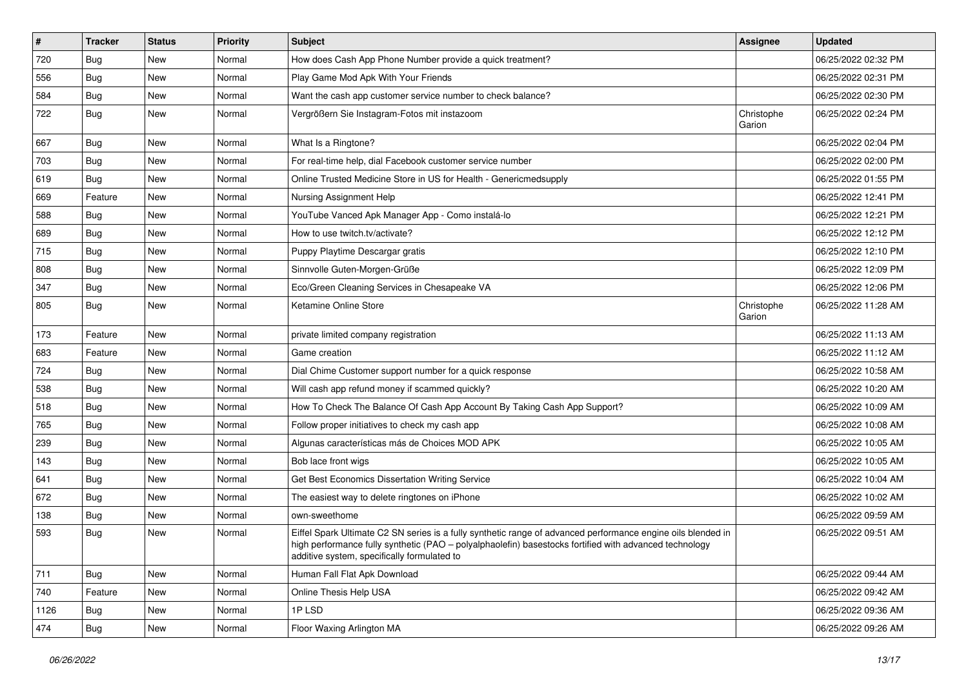| $\vert$ # | <b>Tracker</b> | <b>Status</b> | <b>Priority</b> | Subject                                                                                                                                                                                                                                                               | Assignee             | <b>Updated</b>      |
|-----------|----------------|---------------|-----------------|-----------------------------------------------------------------------------------------------------------------------------------------------------------------------------------------------------------------------------------------------------------------------|----------------------|---------------------|
| 720       | Bug            | New           | Normal          | How does Cash App Phone Number provide a quick treatment?                                                                                                                                                                                                             |                      | 06/25/2022 02:32 PM |
| 556       | Bug            | <b>New</b>    | Normal          | Play Game Mod Apk With Your Friends                                                                                                                                                                                                                                   |                      | 06/25/2022 02:31 PM |
| 584       | <b>Bug</b>     | New           | Normal          | Want the cash app customer service number to check balance?                                                                                                                                                                                                           |                      | 06/25/2022 02:30 PM |
| 722       | <b>Bug</b>     | New           | Normal          | Vergrößern Sie Instagram-Fotos mit instazoom                                                                                                                                                                                                                          | Christophe<br>Garion | 06/25/2022 02:24 PM |
| 667       | <b>Bug</b>     | New           | Normal          | What Is a Ringtone?                                                                                                                                                                                                                                                   |                      | 06/25/2022 02:04 PM |
| 703       | <b>Bug</b>     | New           | Normal          | For real-time help, dial Facebook customer service number                                                                                                                                                                                                             |                      | 06/25/2022 02:00 PM |
| 619       | Bug            | New           | Normal          | Online Trusted Medicine Store in US for Health - Genericmedsupply                                                                                                                                                                                                     |                      | 06/25/2022 01:55 PM |
| 669       | Feature        | New           | Normal          | Nursing Assignment Help                                                                                                                                                                                                                                               |                      | 06/25/2022 12:41 PM |
| 588       | Bug            | New           | Normal          | YouTube Vanced Apk Manager App - Como instalá-lo                                                                                                                                                                                                                      |                      | 06/25/2022 12:21 PM |
| 689       | Bug            | New           | Normal          | How to use twitch.tv/activate?                                                                                                                                                                                                                                        |                      | 06/25/2022 12:12 PM |
| 715       | Bug            | New           | Normal          | Puppy Playtime Descargar gratis                                                                                                                                                                                                                                       |                      | 06/25/2022 12:10 PM |
| 808       | Bug            | New           | Normal          | Sinnvolle Guten-Morgen-Grüße                                                                                                                                                                                                                                          |                      | 06/25/2022 12:09 PM |
| 347       | <b>Bug</b>     | New           | Normal          | Eco/Green Cleaning Services in Chesapeake VA                                                                                                                                                                                                                          |                      | 06/25/2022 12:06 PM |
| 805       | <b>Bug</b>     | New           | Normal          | Ketamine Online Store                                                                                                                                                                                                                                                 | Christophe<br>Garion | 06/25/2022 11:28 AM |
| 173       | Feature        | New           | Normal          | private limited company registration                                                                                                                                                                                                                                  |                      | 06/25/2022 11:13 AM |
| 683       | Feature        | <b>New</b>    | Normal          | Game creation                                                                                                                                                                                                                                                         |                      | 06/25/2022 11:12 AM |
| 724       | <b>Bug</b>     | New           | Normal          | Dial Chime Customer support number for a quick response                                                                                                                                                                                                               |                      | 06/25/2022 10:58 AM |
| 538       | <b>Bug</b>     | New           | Normal          | Will cash app refund money if scammed quickly?                                                                                                                                                                                                                        |                      | 06/25/2022 10:20 AM |
| 518       | Bug            | New           | Normal          | How To Check The Balance Of Cash App Account By Taking Cash App Support?                                                                                                                                                                                              |                      | 06/25/2022 10:09 AM |
| 765       | Bug            | New           | Normal          | Follow proper initiatives to check my cash app                                                                                                                                                                                                                        |                      | 06/25/2022 10:08 AM |
| 239       | Bug            | New           | Normal          | Algunas características más de Choices MOD APK                                                                                                                                                                                                                        |                      | 06/25/2022 10:05 AM |
| 143       | <b>Bug</b>     | New           | Normal          | Bob lace front wigs                                                                                                                                                                                                                                                   |                      | 06/25/2022 10:05 AM |
| 641       | Bug            | New           | Normal          | Get Best Economics Dissertation Writing Service                                                                                                                                                                                                                       |                      | 06/25/2022 10:04 AM |
| 672       | Bug            | New           | Normal          | The easiest way to delete ringtones on iPhone                                                                                                                                                                                                                         |                      | 06/25/2022 10:02 AM |
| 138       | <b>Bug</b>     | New           | Normal          | own-sweethome                                                                                                                                                                                                                                                         |                      | 06/25/2022 09:59 AM |
| 593       | <b>Bug</b>     | New           | Normal          | Eiffel Spark Ultimate C2 SN series is a fully synthetic range of advanced performance engine oils blended in<br>high performance fully synthetic (PAO - polyalphaolefin) basestocks fortified with advanced technology<br>additive system, specifically formulated to |                      | 06/25/2022 09:51 AM |
| 711       | <b>Bug</b>     | New           | Normal          | Human Fall Flat Apk Download                                                                                                                                                                                                                                          |                      | 06/25/2022 09:44 AM |
| 740       | Feature        | New           | Normal          | Online Thesis Help USA                                                                                                                                                                                                                                                |                      | 06/25/2022 09:42 AM |
| 1126      | <b>Bug</b>     | New           | Normal          | 1PLSD                                                                                                                                                                                                                                                                 |                      | 06/25/2022 09:36 AM |
| 474       | <b>Bug</b>     | New           | Normal          | Floor Waxing Arlington MA                                                                                                                                                                                                                                             |                      | 06/25/2022 09:26 AM |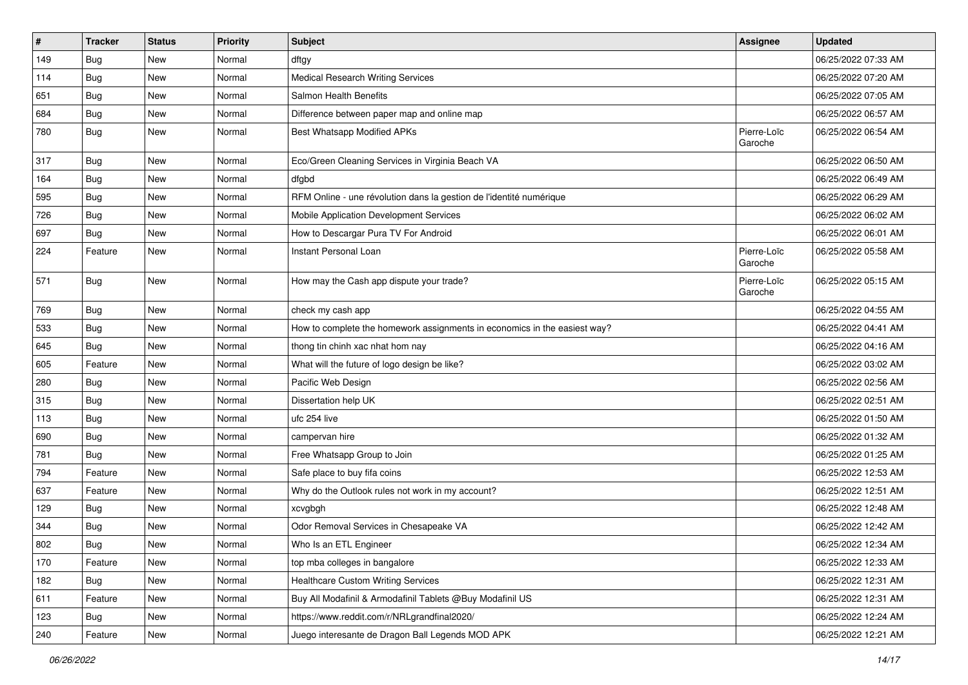| $\pmb{\#}$ | <b>Tracker</b> | <b>Status</b> | <b>Priority</b> | <b>Subject</b>                                                            | <b>Assignee</b>        | <b>Updated</b>      |
|------------|----------------|---------------|-----------------|---------------------------------------------------------------------------|------------------------|---------------------|
| 149        | <b>Bug</b>     | New           | Normal          | dftgy                                                                     |                        | 06/25/2022 07:33 AM |
| 114        | <b>Bug</b>     | <b>New</b>    | Normal          | <b>Medical Research Writing Services</b>                                  |                        | 06/25/2022 07:20 AM |
| 651        | Bug            | New           | Normal          | <b>Salmon Health Benefits</b>                                             |                        | 06/25/2022 07:05 AM |
| 684        | Bug            | New           | Normal          | Difference between paper map and online map                               |                        | 06/25/2022 06:57 AM |
| 780        | Bug            | New           | Normal          | Best Whatsapp Modified APKs                                               | Pierre-Loïc<br>Garoche | 06/25/2022 06:54 AM |
| 317        | Bug            | <b>New</b>    | Normal          | Eco/Green Cleaning Services in Virginia Beach VA                          |                        | 06/25/2022 06:50 AM |
| 164        | Bug            | New           | Normal          | dfgbd                                                                     |                        | 06/25/2022 06:49 AM |
| 595        | Bug            | New           | Normal          | RFM Online - une révolution dans la gestion de l'identité numérique       |                        | 06/25/2022 06:29 AM |
| 726        | Bug            | New           | Normal          | Mobile Application Development Services                                   |                        | 06/25/2022 06:02 AM |
| 697        | Bug            | New           | Normal          | How to Descargar Pura TV For Android                                      |                        | 06/25/2022 06:01 AM |
| 224        | Feature        | New           | Normal          | Instant Personal Loan                                                     | Pierre-Loïc<br>Garoche | 06/25/2022 05:58 AM |
| 571        | Bug            | New           | Normal          | How may the Cash app dispute your trade?                                  | Pierre-Loïc<br>Garoche | 06/25/2022 05:15 AM |
| 769        | Bug            | New           | Normal          | check my cash app                                                         |                        | 06/25/2022 04:55 AM |
| 533        | <b>Bug</b>     | New           | Normal          | How to complete the homework assignments in economics in the easiest way? |                        | 06/25/2022 04:41 AM |
| 645        | Bug            | New           | Normal          | thong tin chinh xac nhat hom nay                                          |                        | 06/25/2022 04:16 AM |
| 605        | Feature        | New           | Normal          | What will the future of logo design be like?                              |                        | 06/25/2022 03:02 AM |
| 280        | Bug            | New           | Normal          | Pacific Web Design                                                        |                        | 06/25/2022 02:56 AM |
| 315        | Bug            | New           | Normal          | Dissertation help UK                                                      |                        | 06/25/2022 02:51 AM |
| 113        | <b>Bug</b>     | New           | Normal          | ufc 254 live                                                              |                        | 06/25/2022 01:50 AM |
| 690        | <b>Bug</b>     | New           | Normal          | campervan hire                                                            |                        | 06/25/2022 01:32 AM |
| 781        | <b>Bug</b>     | New           | Normal          | Free Whatsapp Group to Join                                               |                        | 06/25/2022 01:25 AM |
| 794        | Feature        | New           | Normal          | Safe place to buy fifa coins                                              |                        | 06/25/2022 12:53 AM |
| 637        | Feature        | New           | Normal          | Why do the Outlook rules not work in my account?                          |                        | 06/25/2022 12:51 AM |
| 129        | <b>Bug</b>     | New           | Normal          | xcvgbgh                                                                   |                        | 06/25/2022 12:48 AM |
| 344        | <b>Bug</b>     | <b>New</b>    | Normal          | Odor Removal Services in Chesapeake VA                                    |                        | 06/25/2022 12:42 AM |
| 802        | Bug            | New           | Normal          | Who Is an ETL Engineer                                                    |                        | 06/25/2022 12:34 AM |
| 170        | Feature        | New           | Normal          | top mba colleges in bangalore                                             |                        | 06/25/2022 12:33 AM |
| 182        | Bug            | New           | Normal          | <b>Healthcare Custom Writing Services</b>                                 |                        | 06/25/2022 12:31 AM |
| 611        | Feature        | New           | Normal          | Buy All Modafinil & Armodafinil Tablets @Buy Modafinil US                 |                        | 06/25/2022 12:31 AM |
| 123        | <b>Bug</b>     | New           | Normal          | https://www.reddit.com/r/NRLgrandfinal2020/                               |                        | 06/25/2022 12:24 AM |
| 240        | Feature        | New           | Normal          | Juego interesante de Dragon Ball Legends MOD APK                          |                        | 06/25/2022 12:21 AM |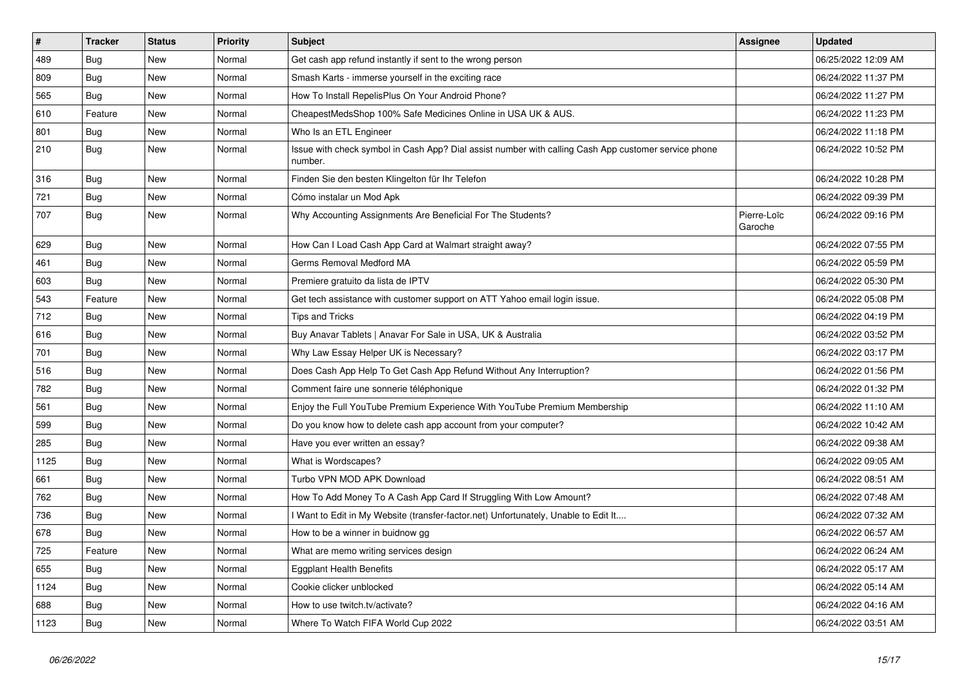| $\vert$ # | <b>Tracker</b> | <b>Status</b> | <b>Priority</b> | <b>Subject</b>                                                                                                  | <b>Assignee</b>        | <b>Updated</b>      |
|-----------|----------------|---------------|-----------------|-----------------------------------------------------------------------------------------------------------------|------------------------|---------------------|
| 489       | <b>Bug</b>     | <b>New</b>    | Normal          | Get cash app refund instantly if sent to the wrong person                                                       |                        | 06/25/2022 12:09 AM |
| 809       | <b>Bug</b>     | New           | Normal          | Smash Karts - immerse yourself in the exciting race                                                             |                        | 06/24/2022 11:37 PM |
| 565       | Bug            | New           | Normal          | How To Install RepelisPlus On Your Android Phone?                                                               |                        | 06/24/2022 11:27 PM |
| 610       | Feature        | New           | Normal          | CheapestMedsShop 100% Safe Medicines Online in USA UK & AUS.                                                    |                        | 06/24/2022 11:23 PM |
| 801       | <b>Bug</b>     | New           | Normal          | Who Is an ETL Engineer                                                                                          |                        | 06/24/2022 11:18 PM |
| 210       | Bug            | <b>New</b>    | Normal          | Issue with check symbol in Cash App? Dial assist number with calling Cash App customer service phone<br>number. |                        | 06/24/2022 10:52 PM |
| 316       | <b>Bug</b>     | New           | Normal          | Finden Sie den besten Klingelton für Ihr Telefon                                                                |                        | 06/24/2022 10:28 PM |
| 721       | Bug            | New           | Normal          | Cómo instalar un Mod Apk                                                                                        |                        | 06/24/2022 09:39 PM |
| 707       | <b>Bug</b>     | New           | Normal          | Why Accounting Assignments Are Beneficial For The Students?                                                     | Pierre-Loïc<br>Garoche | 06/24/2022 09:16 PM |
| 629       | <b>Bug</b>     | <b>New</b>    | Normal          | How Can I Load Cash App Card at Walmart straight away?                                                          |                        | 06/24/2022 07:55 PM |
| 461       | Bug            | New           | Normal          | Germs Removal Medford MA                                                                                        |                        | 06/24/2022 05:59 PM |
| 603       | <b>Bug</b>     | New           | Normal          | Premiere gratuito da lista de IPTV                                                                              |                        | 06/24/2022 05:30 PM |
| 543       | Feature        | New           | Normal          | Get tech assistance with customer support on ATT Yahoo email login issue.                                       |                        | 06/24/2022 05:08 PM |
| 712       | Bug            | New           | Normal          | <b>Tips and Tricks</b>                                                                                          |                        | 06/24/2022 04:19 PM |
| 616       | Bug            | <b>New</b>    | Normal          | Buy Anavar Tablets   Anavar For Sale in USA, UK & Australia                                                     |                        | 06/24/2022 03:52 PM |
| 701       | Bug            | New           | Normal          | Why Law Essay Helper UK is Necessary?                                                                           |                        | 06/24/2022 03:17 PM |
| 516       | Bug            | New           | Normal          | Does Cash App Help To Get Cash App Refund Without Any Interruption?                                             |                        | 06/24/2022 01:56 PM |
| 782       | <b>Bug</b>     | New           | Normal          | Comment faire une sonnerie téléphonique                                                                         |                        | 06/24/2022 01:32 PM |
| 561       | Bug            | New           | Normal          | Enjoy the Full YouTube Premium Experience With YouTube Premium Membership                                       |                        | 06/24/2022 11:10 AM |
| 599       | <b>Bug</b>     | New           | Normal          | Do you know how to delete cash app account from your computer?                                                  |                        | 06/24/2022 10:42 AM |
| 285       | Bug            | New           | Normal          | Have you ever written an essay?                                                                                 |                        | 06/24/2022 09:38 AM |
| 1125      | <b>Bug</b>     | <b>New</b>    | Normal          | What is Wordscapes?                                                                                             |                        | 06/24/2022 09:05 AM |
| 661       | <b>Bug</b>     | New           | Normal          | Turbo VPN MOD APK Download                                                                                      |                        | 06/24/2022 08:51 AM |
| 762       | <b>Bug</b>     | New           | Normal          | How To Add Money To A Cash App Card If Struggling With Low Amount?                                              |                        | 06/24/2022 07:48 AM |
| 736       | <b>Bug</b>     | New           | Normal          | I Want to Edit in My Website (transfer-factor.net) Unfortunately, Unable to Edit It                             |                        | 06/24/2022 07:32 AM |
| 678       | Bug            | New           | Normal          | How to be a winner in buidnow gg                                                                                |                        | 06/24/2022 06:57 AM |
| 725       | Feature        | New           | Normal          | What are memo writing services design                                                                           |                        | 06/24/2022 06:24 AM |
| 655       | Bug            | <b>New</b>    | Normal          | <b>Eggplant Health Benefits</b>                                                                                 |                        | 06/24/2022 05:17 AM |
| 1124      | Bug            | New           | Normal          | Cookie clicker unblocked                                                                                        |                        | 06/24/2022 05:14 AM |
| 688       | <b>Bug</b>     | New           | Normal          | How to use twitch.tv/activate?                                                                                  |                        | 06/24/2022 04:16 AM |
| 1123      | <b>Bug</b>     | New           | Normal          | Where To Watch FIFA World Cup 2022                                                                              |                        | 06/24/2022 03:51 AM |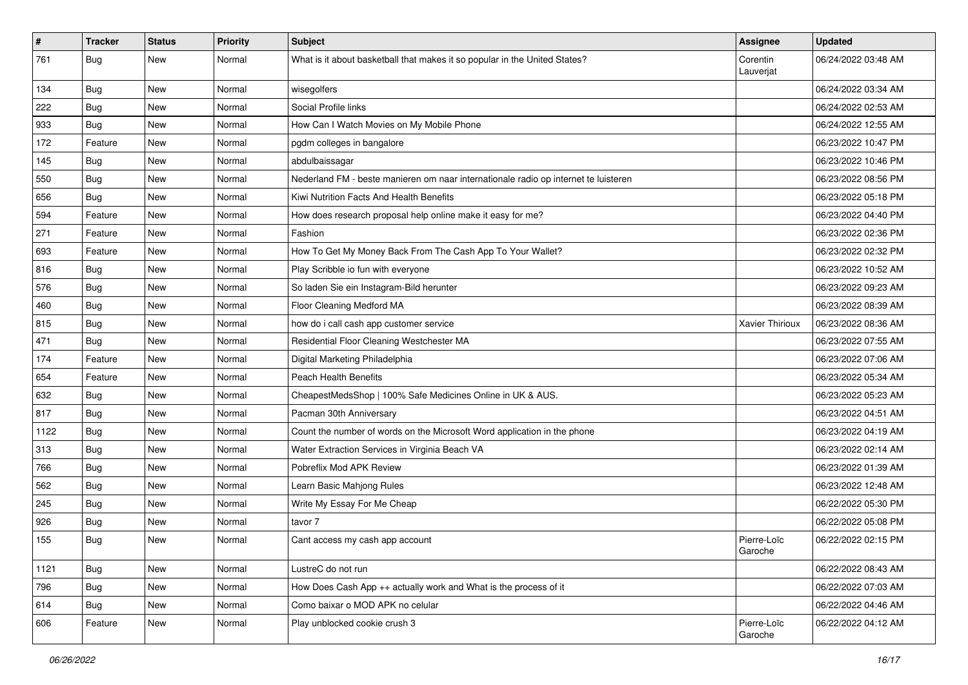| $\sharp$ | <b>Tracker</b> | <b>Status</b> | <b>Priority</b> | <b>Subject</b>                                                                      | Assignee               | <b>Updated</b>      |
|----------|----------------|---------------|-----------------|-------------------------------------------------------------------------------------|------------------------|---------------------|
| 761      | <b>Bug</b>     | New           | Normal          | What is it about basketball that makes it so popular in the United States?          | Corentin<br>Lauverjat  | 06/24/2022 03:48 AM |
| 134      | Bug            | <b>New</b>    | Normal          | wisegolfers                                                                         |                        | 06/24/2022 03:34 AM |
| 222      | Bug            | New           | Normal          | Social Profile links                                                                |                        | 06/24/2022 02:53 AM |
| 933      | Bug            | <b>New</b>    | Normal          | How Can I Watch Movies on My Mobile Phone                                           |                        | 06/24/2022 12:55 AM |
| 172      | Feature        | New           | Normal          | pgdm colleges in bangalore                                                          |                        | 06/23/2022 10:47 PM |
| 145      | <b>Bug</b>     | New           | Normal          | abdulbaissagar                                                                      |                        | 06/23/2022 10:46 PM |
| 550      | <b>Bug</b>     | <b>New</b>    | Normal          | Nederland FM - beste manieren om naar internationale radio op internet te luisteren |                        | 06/23/2022 08:56 PM |
| 656      | <b>Bug</b>     | New           | Normal          | Kiwi Nutrition Facts And Health Benefits                                            |                        | 06/23/2022 05:18 PM |
| 594      | Feature        | New           | Normal          | How does research proposal help online make it easy for me?                         |                        | 06/23/2022 04:40 PM |
| 271      | Feature        | New           | Normal          | Fashion                                                                             |                        | 06/23/2022 02:36 PM |
| 693      | Feature        | New           | Normal          | How To Get My Money Back From The Cash App To Your Wallet?                          |                        | 06/23/2022 02:32 PM |
| 816      | Bug            | <b>New</b>    | Normal          | Play Scribble io fun with everyone                                                  |                        | 06/23/2022 10:52 AM |
| 576      | <b>Bug</b>     | New           | Normal          | So laden Sie ein Instagram-Bild herunter                                            |                        | 06/23/2022 09:23 AM |
| 460      | <b>Bug</b>     | <b>New</b>    | Normal          | Floor Cleaning Medford MA                                                           |                        | 06/23/2022 08:39 AM |
| 815      | <b>Bug</b>     | New           | Normal          | how do i call cash app customer service                                             | Xavier Thirioux        | 06/23/2022 08:36 AM |
| 471      | <b>Bug</b>     | <b>New</b>    | Normal          | Residential Floor Cleaning Westchester MA                                           |                        | 06/23/2022 07:55 AM |
| 174      | Feature        | <b>New</b>    | Normal          | Digital Marketing Philadelphia                                                      |                        | 06/23/2022 07:06 AM |
| 654      | Feature        | New           | Normal          | <b>Peach Health Benefits</b>                                                        |                        | 06/23/2022 05:34 AM |
| 632      | Bug            | <b>New</b>    | Normal          | CheapestMedsShop   100% Safe Medicines Online in UK & AUS.                          |                        | 06/23/2022 05:23 AM |
| 817      | Bug            | <b>New</b>    | Normal          | Pacman 30th Anniversary                                                             |                        | 06/23/2022 04:51 AM |
| 1122     | <b>Bug</b>     | New           | Normal          | Count the number of words on the Microsoft Word application in the phone            |                        | 06/23/2022 04:19 AM |
| 313      | Bug            | <b>New</b>    | Normal          | Water Extraction Services in Virginia Beach VA                                      |                        | 06/23/2022 02:14 AM |
| 766      | <b>Bug</b>     | New           | Normal          | Pobreflix Mod APK Review                                                            |                        | 06/23/2022 01:39 AM |
| 562      | <b>Bug</b>     | New           | Normal          | Learn Basic Mahjong Rules                                                           |                        | 06/23/2022 12:48 AM |
| 245      | Bug            | <b>New</b>    | Normal          | Write My Essay For Me Cheap                                                         |                        | 06/22/2022 05:30 PM |
| 926      | Bug            | New           | Normal          | tavor 7                                                                             |                        | 06/22/2022 05:08 PM |
| 155      | <b>Bug</b>     | New           | Normal          | Cant access my cash app account                                                     | Pierre-Loïc<br>Garoche | 06/22/2022 02:15 PM |
| 1121     | Bug            | <b>New</b>    | Normal          | LustreC do not run                                                                  |                        | 06/22/2022 08:43 AM |
| 796      | <b>Bug</b>     | <b>New</b>    | Normal          | How Does Cash App ++ actually work and What is the process of it                    |                        | 06/22/2022 07:03 AM |
| 614      | Bug            | New           | Normal          | Como baixar o MOD APK no celular                                                    |                        | 06/22/2022 04:46 AM |
| 606      | Feature        | New           | Normal          | Play unblocked cookie crush 3                                                       | Pierre-Loïc<br>Garoche | 06/22/2022 04:12 AM |